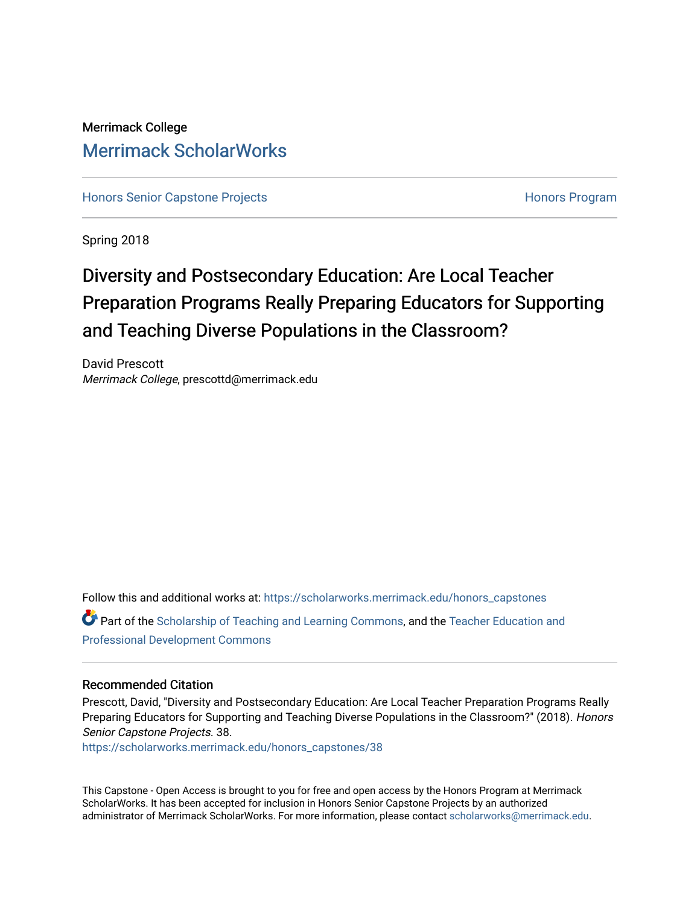# Merrimack College [Merrimack ScholarWorks](https://scholarworks.merrimack.edu/)

[Honors Senior Capstone Projects](https://scholarworks.merrimack.edu/honors_capstones) [Honors Program](https://scholarworks.merrimack.edu/honors) 

Spring 2018

# Diversity and Postsecondary Education: Are Local Teacher Preparation Programs Really Preparing Educators for Supporting and Teaching Diverse Populations in the Classroom?

David Prescott Merrimack College, prescottd@merrimack.edu

Follow this and additional works at: [https://scholarworks.merrimack.edu/honors\\_capstones](https://scholarworks.merrimack.edu/honors_capstones?utm_source=scholarworks.merrimack.edu%2Fhonors_capstones%2F38&utm_medium=PDF&utm_campaign=PDFCoverPages)

Part of the [Scholarship of Teaching and Learning Commons,](http://network.bepress.com/hgg/discipline/1328?utm_source=scholarworks.merrimack.edu%2Fhonors_capstones%2F38&utm_medium=PDF&utm_campaign=PDFCoverPages) and the [Teacher Education and](http://network.bepress.com/hgg/discipline/803?utm_source=scholarworks.merrimack.edu%2Fhonors_capstones%2F38&utm_medium=PDF&utm_campaign=PDFCoverPages)  [Professional Development Commons](http://network.bepress.com/hgg/discipline/803?utm_source=scholarworks.merrimack.edu%2Fhonors_capstones%2F38&utm_medium=PDF&utm_campaign=PDFCoverPages)

# Recommended Citation

Prescott, David, "Diversity and Postsecondary Education: Are Local Teacher Preparation Programs Really Preparing Educators for Supporting and Teaching Diverse Populations in the Classroom?" (2018). Honors Senior Capstone Projects. 38.

[https://scholarworks.merrimack.edu/honors\\_capstones/38](https://scholarworks.merrimack.edu/honors_capstones/38?utm_source=scholarworks.merrimack.edu%2Fhonors_capstones%2F38&utm_medium=PDF&utm_campaign=PDFCoverPages) 

This Capstone - Open Access is brought to you for free and open access by the Honors Program at Merrimack ScholarWorks. It has been accepted for inclusion in Honors Senior Capstone Projects by an authorized administrator of Merrimack ScholarWorks. For more information, please contact [scholarworks@merrimack.edu](mailto:scholarworks@merrimack.edu).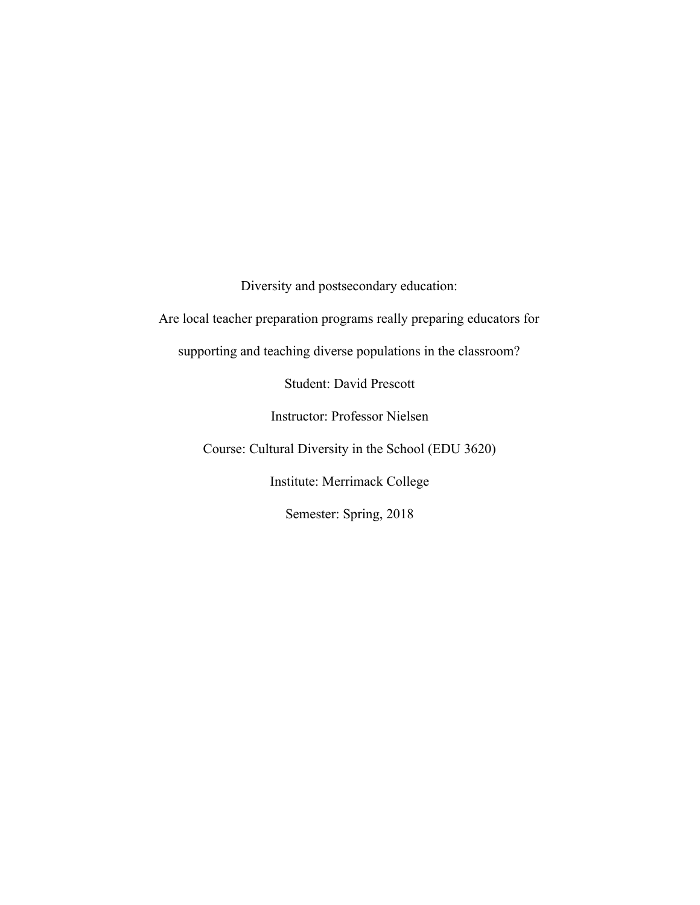Diversity and postsecondary education:

Are local teacher preparation programs really preparing educators for

supporting and teaching diverse populations in the classroom?

Student: David Prescott

Instructor: Professor Nielsen

Course: Cultural Diversity in the School (EDU 3620)

Institute: Merrimack College

Semester: Spring, 2018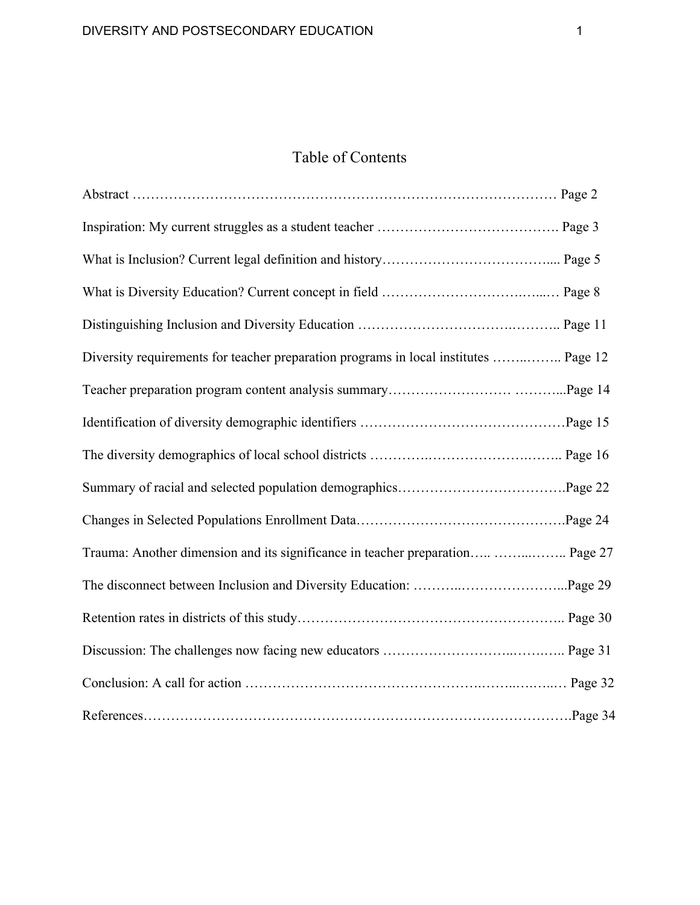# Table of Contents

| Diversity requirements for teacher preparation programs in local institutes  Page 12 |  |
|--------------------------------------------------------------------------------------|--|
|                                                                                      |  |
|                                                                                      |  |
|                                                                                      |  |
|                                                                                      |  |
|                                                                                      |  |
| Trauma: Another dimension and its significance in teacher preparation  Page 27       |  |
|                                                                                      |  |
|                                                                                      |  |
|                                                                                      |  |
|                                                                                      |  |
|                                                                                      |  |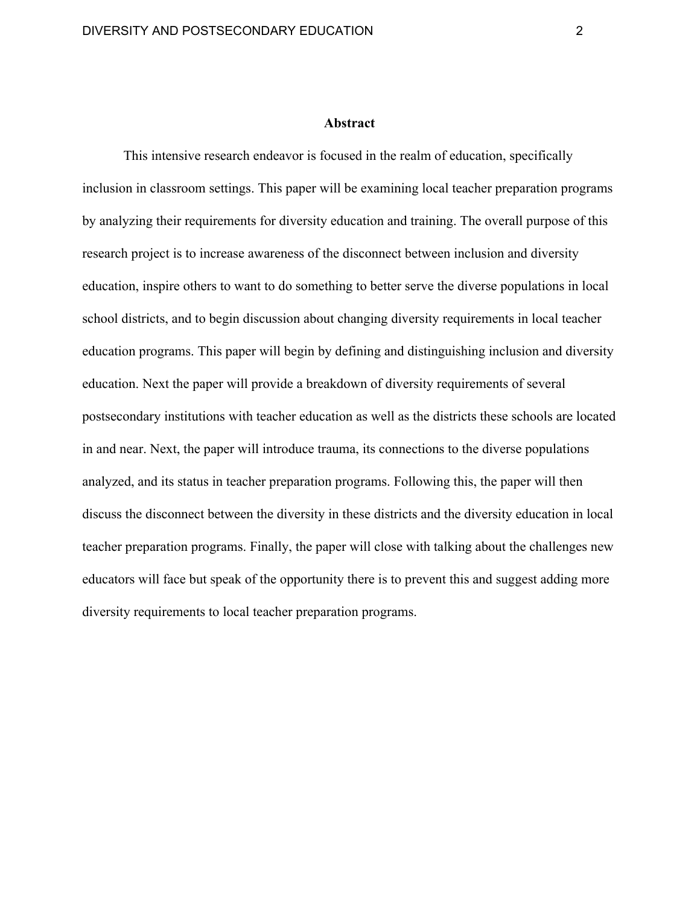#### **Abstract**

This intensive research endeavor is focused in the realm of education, specifically inclusion in classroom settings. This paper will be examining local teacher preparation programs by analyzing their requirements for diversity education and training. The overall purpose of this research project is to increase awareness of the disconnect between inclusion and diversity education, inspire others to want to do something to better serve the diverse populations in local school districts, and to begin discussion about changing diversity requirements in local teacher education programs. This paper will begin by defining and distinguishing inclusion and diversity education. Next the paper will provide a breakdown of diversity requirements of several postsecondary institutions with teacher education as well as the districts these schools are located in and near. Next, the paper will introduce trauma, its connections to the diverse populations analyzed, and its status in teacher preparation programs. Following this, the paper will then discuss the disconnect between the diversity in these districts and the diversity education in local teacher preparation programs. Finally, the paper will close with talking about the challenges new educators will face but speak of the opportunity there is to prevent this and suggest adding more diversity requirements to local teacher preparation programs.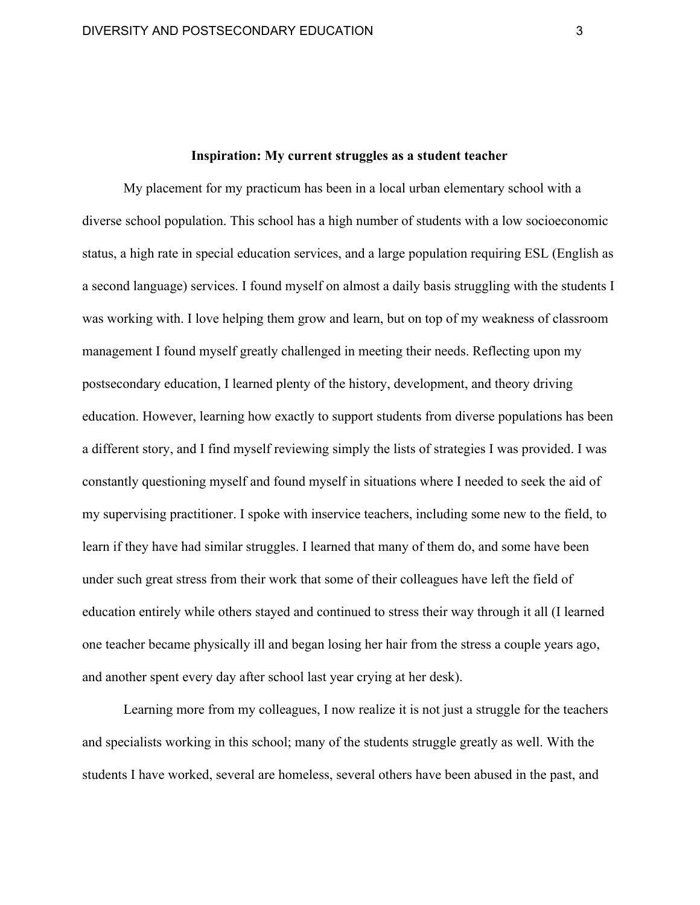### **Inspiration: My current struggles as a student teacher**

My placement for my practicum has been in a local urban elementary school with a diverse school population. This school has a high number of students with a low socioeconomic status, a high rate in special education services, and a large population requiring ESL (English as a second language) services. I found myself on almost a daily basis struggling with the students I was working with. I love helping them grow and learn, but on top of my weakness of classroom management I found myself greatly challenged in meeting their needs. Reflecting upon my postsecondary education, I learned plenty of the history, development, and theory driving education. However, learning how exactly to support students from diverse populations has been a different story, and I find myself reviewing simply the lists of strategies I was provided. I was constantly questioning myself and found myself in situations where I needed to seek the aid of my supervising practitioner. I spoke with inservice teachers, including some new to the field, to learn if they have had similar struggles. I learned that many of them do, and some have been under such great stress from their work that some of their colleagues have left the field of education entirely while others stayed and continued to stress their way through it all (I learned one teacher became physically ill and began losing her hair from the stress a couple years ago, and another spent every day after school last year crying at her desk).

Learning more from my colleagues, I now realize it is not just a struggle for the teachers and specialists working in this school; many of the students struggle greatly as well. With the students I have worked, several are homeless, several others have been abused in the past, and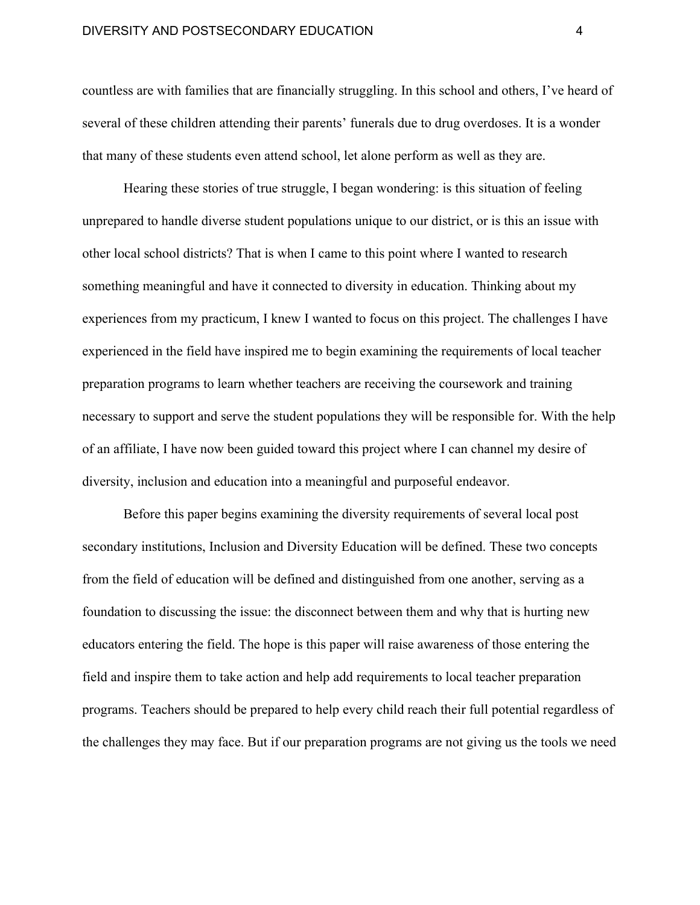countless are with families that are financially struggling. In this school and others, I've heard of several of these children attending their parents' funerals due to drug overdoses. It is a wonder that many of these students even attend school, let alone perform as well as they are.

Hearing these stories of true struggle, I began wondering: is this situation of feeling unprepared to handle diverse student populations unique to our district, or is this an issue with other local school districts? That is when I came to this point where I wanted to research something meaningful and have it connected to diversity in education. Thinking about my experiences from my practicum, I knew I wanted to focus on this project. The challenges I have experienced in the field have inspired me to begin examining the requirements of local teacher preparation programs to learn whether teachers are receiving the coursework and training necessary to support and serve the student populations they will be responsible for. With the help of an affiliate, I have now been guided toward this project where I can channel my desire of diversity, inclusion and education into a meaningful and purposeful endeavor.

Before this paper begins examining the diversity requirements of several local post secondary institutions, Inclusion and Diversity Education will be defined. These two concepts from the field of education will be defined and distinguished from one another, serving as a foundation to discussing the issue: the disconnect between them and why that is hurting new educators entering the field. The hope is this paper will raise awareness of those entering the field and inspire them to take action and help add requirements to local teacher preparation programs. Teachers should be prepared to help every child reach their full potential regardless of the challenges they may face. But if our preparation programs are not giving us the tools we need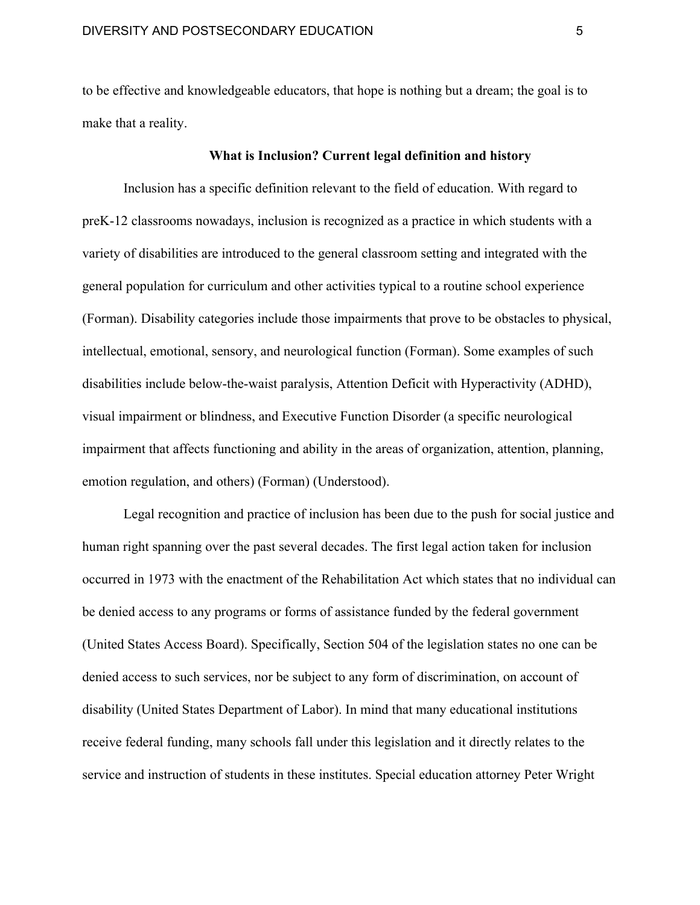to be effective and knowledgeable educators, that hope is nothing but a dream; the goal is to make that a reality.

### **What is Inclusion? Current legal definition and history**

Inclusion has a specific definition relevant to the field of education. With regard to preK-12 classrooms nowadays, inclusion is recognized as a practice in which students with a variety of disabilities are introduced to the general classroom setting and integrated with the general population for curriculum and other activities typical to a routine school experience (Forman). Disability categories include those impairments that prove to be obstacles to physical, intellectual, emotional, sensory, and neurological function (Forman). Some examples of such disabilities include below-the-waist paralysis, Attention Deficit with Hyperactivity (ADHD), visual impairment or blindness, and Executive Function Disorder (a specific neurological impairment that affects functioning and ability in the areas of organization, attention, planning, emotion regulation, and others) (Forman) (Understood).

Legal recognition and practice of inclusion has been due to the push for social justice and human right spanning over the past several decades. The first legal action taken for inclusion occurred in 1973 with the enactment of the Rehabilitation Act which states that no individual can be denied access to any programs or forms of assistance funded by the federal government (United States Access Board). Specifically, Section 504 of the legislation states no one can be denied access to such services, nor be subject to any form of discrimination, on account of disability (United States Department of Labor). In mind that many educational institutions receive federal funding, many schools fall under this legislation and it directly relates to the service and instruction of students in these institutes. Special education attorney Peter Wright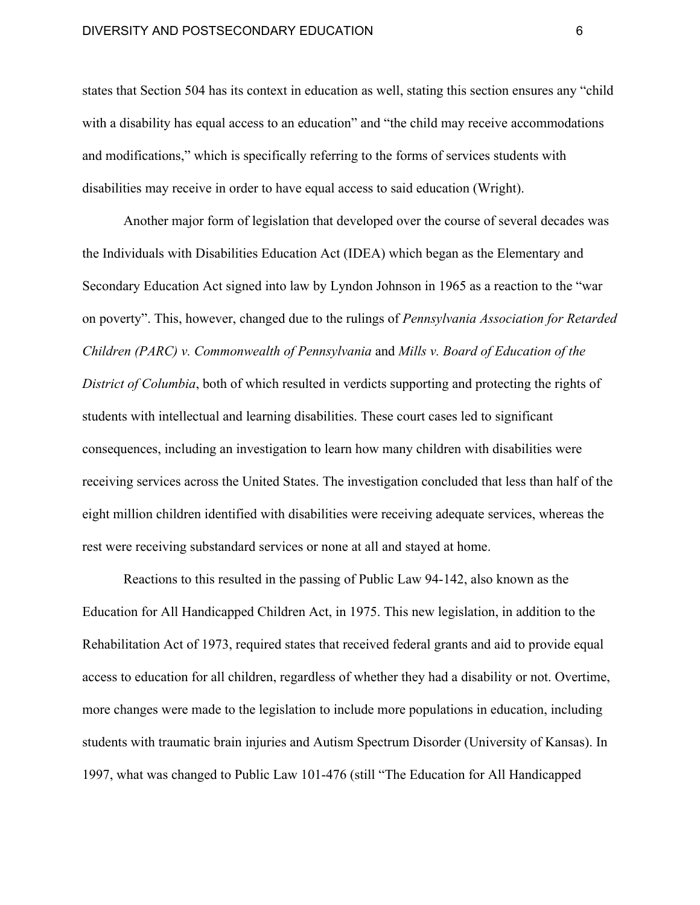states that Section 504 has its context in education as well, stating this section ensures any "child with a disability has equal access to an education" and "the child may receive accommodations and modifications," which is specifically referring to the forms of services students with disabilities may receive in order to have equal access to said education (Wright).

Another major form of legislation that developed over the course of several decades was the Individuals with Disabilities Education Act (IDEA) which began as the Elementary and Secondary Education Act signed into law by Lyndon Johnson in 1965 as a reaction to the "war on poverty". This, however, changed due to the rulings of *Pennsylvania Association for Retarded Children (PARC) v. Commonwealth of Pennsylvania* and *Mills v. Board of Education of the District of Columbia*, both of which resulted in verdicts supporting and protecting the rights of students with intellectual and learning disabilities. These court cases led to significant consequences, including an investigation to learn how many children with disabilities were receiving services across the United States. The investigation concluded that less than half of the eight million children identified with disabilities were receiving adequate services, whereas the rest were receiving substandard services or none at all and stayed at home.

Reactions to this resulted in the passing of Public Law 94-142, also known as the Education for All Handicapped Children Act, in 1975. This new legislation, in addition to the Rehabilitation Act of 1973, required states that received federal grants and aid to provide equal access to education for all children, regardless of whether they had a disability or not. Overtime, more changes were made to the legislation to include more populations in education, including students with traumatic brain injuries and Autism Spectrum Disorder (University of Kansas). In 1997, what was changed to Public Law 101-476 (still "The Education for All Handicapped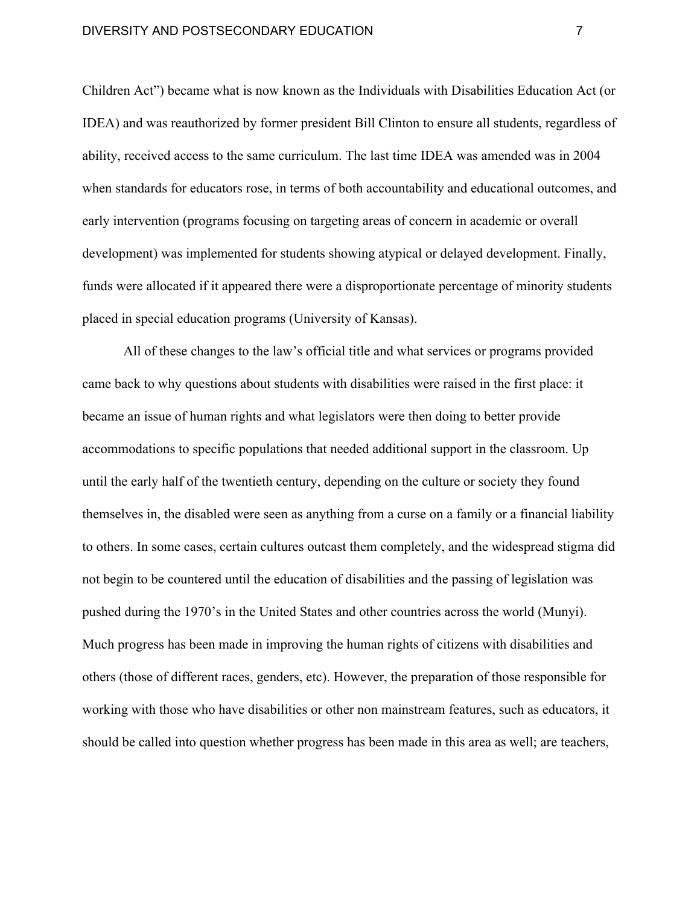Children Act") became what is now known as the Individuals with Disabilities Education Act (or IDEA) and was reauthorized by former president Bill Clinton to ensure all students, regardless of ability, received access to the same curriculum. The last time IDEA was amended was in 2004 when standards for educators rose, in terms of both accountability and educational outcomes, and early intervention (programs focusing on targeting areas of concern in academic or overall development) was implemented for students showing atypical or delayed development. Finally, funds were allocated if it appeared there were a disproportionate percentage of minority students placed in special education programs (University of Kansas).

All of these changes to the law's official title and what services or programs provided came back to why questions about students with disabilities were raised in the first place: it became an issue of human rights and what legislators were then doing to better provide accommodations to specific populations that needed additional support in the classroom. Up until the early half of the twentieth century, depending on the culture or society they found themselves in, the disabled were seen as anything from a curse on a family or a financial liability to others. In some cases, certain cultures outcast them completely, and the widespread stigma did not begin to be countered until the education of disabilities and the passing of legislation was pushed during the 1970's in the United States and other countries across the world (Munyi). Much progress has been made in improving the human rights of citizens with disabilities and others (those of different races, genders, etc). However, the preparation of those responsible for working with those who have disabilities or other non mainstream features, such as educators, it should be called into question whether progress has been made in this area as well; are teachers,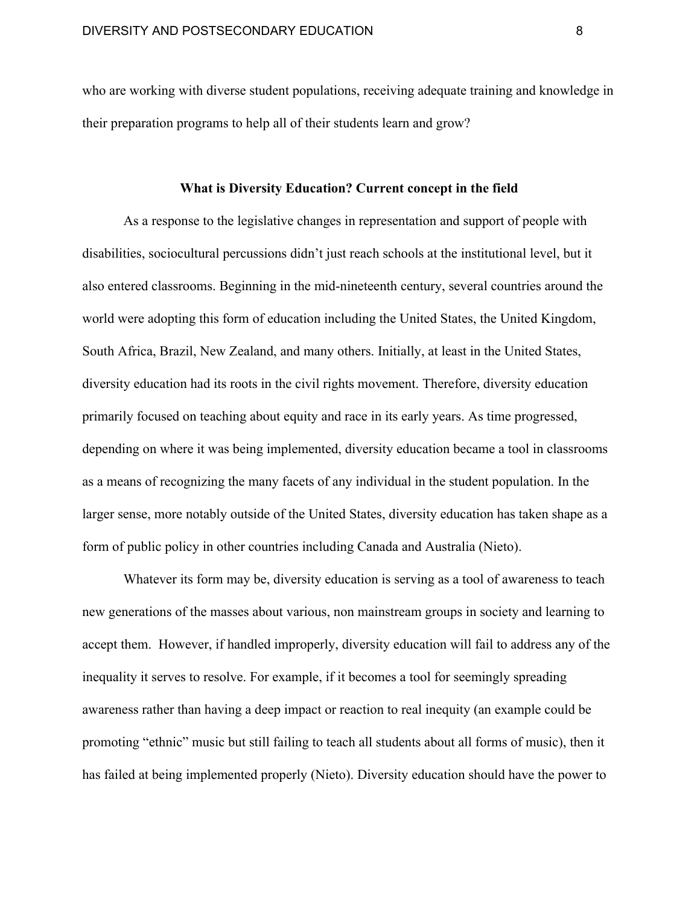who are working with diverse student populations, receiving adequate training and knowledge in their preparation programs to help all of their students learn and grow?

# **What is Diversity Education? Current concept in the field**

As a response to the legislative changes in representation and support of people with disabilities, sociocultural percussions didn't just reach schools at the institutional level, but it also entered classrooms. Beginning in the mid-nineteenth century, several countries around the world were adopting this form of education including the United States, the United Kingdom, South Africa, Brazil, New Zealand, and many others. Initially, at least in the United States, diversity education had its roots in the civil rights movement. Therefore, diversity education primarily focused on teaching about equity and race in its early years. As time progressed, depending on where it was being implemented, diversity education became a tool in classrooms as a means of recognizing the many facets of any individual in the student population. In the larger sense, more notably outside of the United States, diversity education has taken shape as a form of public policy in other countries including Canada and Australia (Nieto).

Whatever its form may be, diversity education is serving as a tool of awareness to teach new generations of the masses about various, non mainstream groups in society and learning to accept them. However, if handled improperly, diversity education will fail to address any of the inequality it serves to resolve. For example, if it becomes a tool for seemingly spreading awareness rather than having a deep impact or reaction to real inequity (an example could be promoting "ethnic" music but still failing to teach all students about all forms of music), then it has failed at being implemented properly (Nieto). Diversity education should have the power to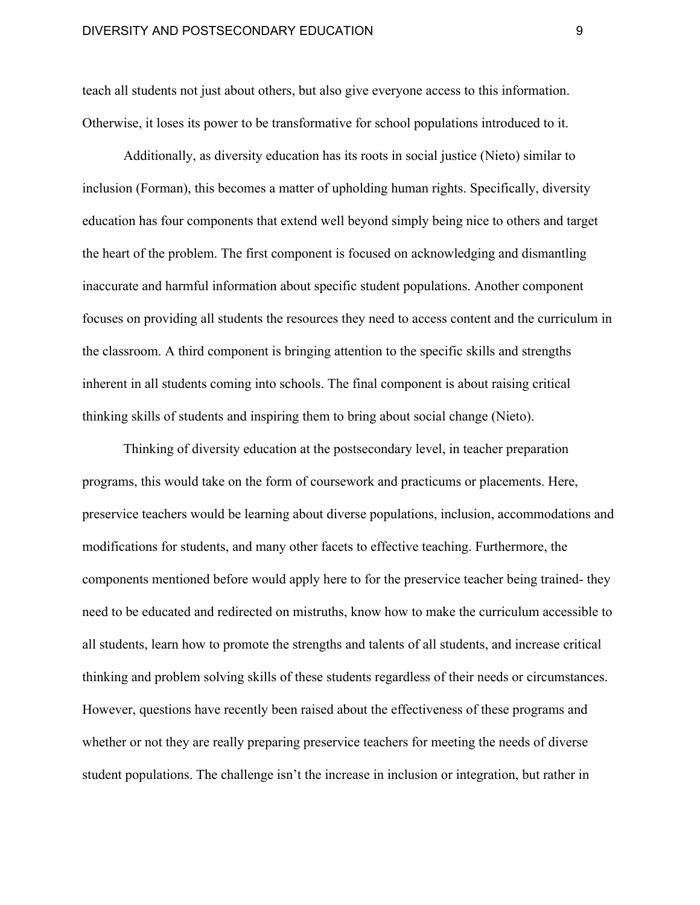teach all students not just about others, but also give everyone access to this information. Otherwise, it loses its power to be transformative for school populations introduced to it.

Additionally, as diversity education has its roots in social justice (Nieto) similar to inclusion (Forman), this becomes a matter of upholding human rights. Specifically, diversity education has four components that extend well beyond simply being nice to others and target the heart of the problem. The first component is focused on acknowledging and dismantling inaccurate and harmful information about specific student populations. Another component focuses on providing all students the resources they need to access content and the curriculum in the classroom. A third component is bringing attention to the specific skills and strengths inherent in all students coming into schools. The final component is about raising critical thinking skills of students and inspiring them to bring about social change (Nieto).

Thinking of diversity education at the postsecondary level, in teacher preparation programs, this would take on the form of coursework and practicums or placements. Here, preservice teachers would be learning about diverse populations, inclusion, accommodations and modifications for students, and many other facets to effective teaching. Furthermore, the components mentioned before would apply here to for the preservice teacher being trained- they need to be educated and redirected on mistruths, know how to make the curriculum accessible to all students, learn how to promote the strengths and talents of all students, and increase critical thinking and problem solving skills of these students regardless of their needs or circumstances. However, questions have recently been raised about the effectiveness of these programs and whether or not they are really preparing preservice teachers for meeting the needs of diverse student populations. The challenge isn't the increase in inclusion or integration, but rather in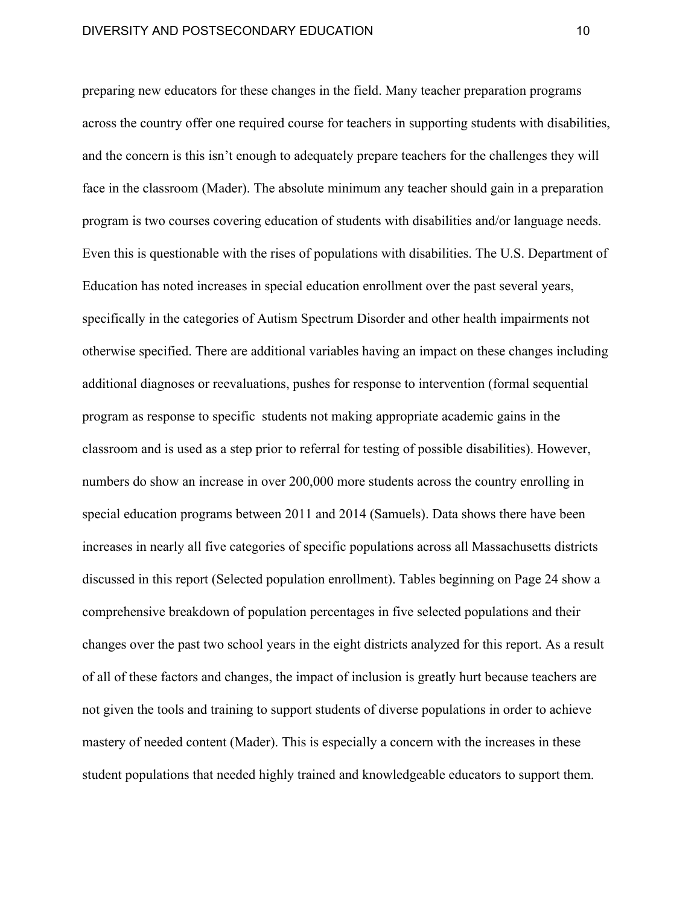preparing new educators for these changes in the field. Many teacher preparation programs across the country offer one required course for teachers in supporting students with disabilities, and the concern is this isn't enough to adequately prepare teachers for the challenges they will face in the classroom (Mader). The absolute minimum any teacher should gain in a preparation program is two courses covering education of students with disabilities and/or language needs. Even this is questionable with the rises of populations with disabilities. The U.S. Department of Education has noted increases in special education enrollment over the past several years, specifically in the categories of Autism Spectrum Disorder and other health impairments not otherwise specified. There are additional variables having an impact on these changes including additional diagnoses or reevaluations, pushes for response to intervention (formal sequential program as response to specific students not making appropriate academic gains in the classroom and is used as a step prior to referral for testing of possible disabilities). However, numbers do show an increase in over 200,000 more students across the country enrolling in special education programs between 2011 and 2014 (Samuels). Data shows there have been increases in nearly all five categories of specific populations across all Massachusetts districts discussed in this report (Selected population enrollment). Tables beginning on Page 24 show a comprehensive breakdown of population percentages in five selected populations and their changes over the past two school years in the eight districts analyzed for this report. As a result of all of these factors and changes, the impact of inclusion is greatly hurt because teachers are not given the tools and training to support students of diverse populations in order to achieve mastery of needed content (Mader). This is especially a concern with the increases in these student populations that needed highly trained and knowledgeable educators to support them.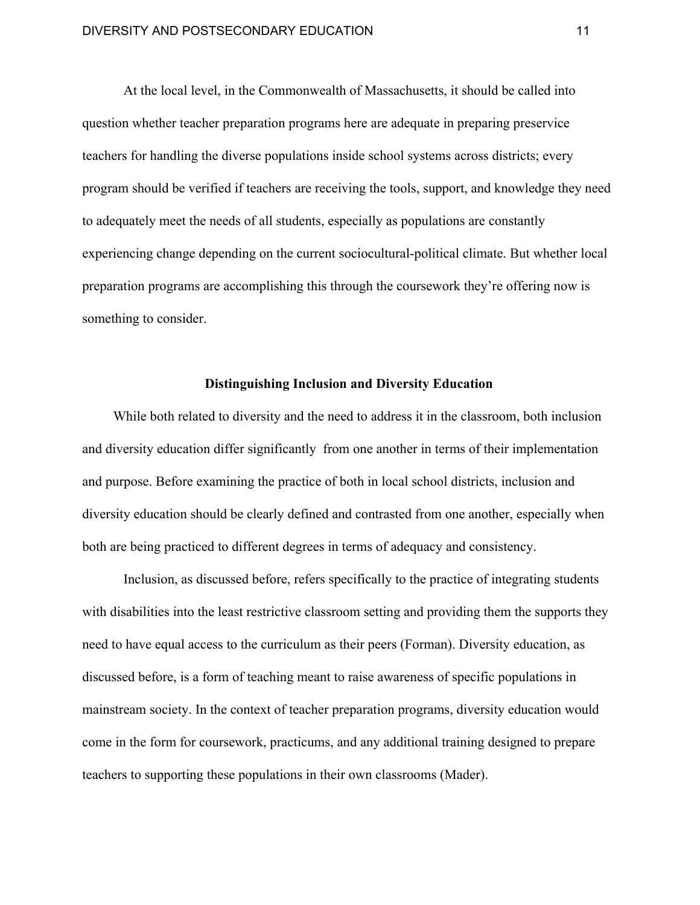At the local level, in the Commonwealth of Massachusetts, it should be called into question whether teacher preparation programs here are adequate in preparing preservice teachers for handling the diverse populations inside school systems across districts; every program should be verified if teachers are receiving the tools, support, and knowledge they need to adequately meet the needs of all students, especially as populations are constantly experiencing change depending on the current sociocultural-political climate. But whether local preparation programs are accomplishing this through the coursework they're offering now is something to consider.

## **Distinguishing Inclusion and Diversity Education**

While both related to diversity and the need to address it in the classroom, both inclusion and diversity education differ significantly from one another in terms of their implementation and purpose. Before examining the practice of both in local school districts, inclusion and diversity education should be clearly defined and contrasted from one another, especially when both are being practiced to different degrees in terms of adequacy and consistency.

Inclusion, as discussed before, refers specifically to the practice of integrating students with disabilities into the least restrictive classroom setting and providing them the supports they need to have equal access to the curriculum as their peers (Forman). Diversity education, as discussed before, is a form of teaching meant to raise awareness of specific populations in mainstream society. In the context of teacher preparation programs, diversity education would come in the form for coursework, practicums, and any additional training designed to prepare teachers to supporting these populations in their own classrooms (Mader).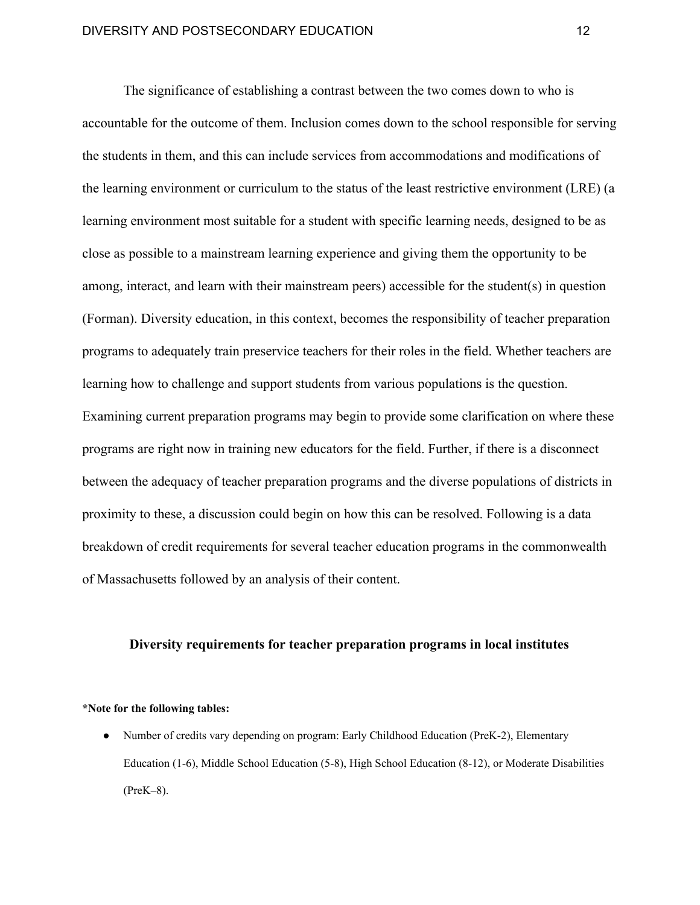The significance of establishing a contrast between the two comes down to who is accountable for the outcome of them. Inclusion comes down to the school responsible for serving the students in them, and this can include services from accommodations and modifications of the learning environment or curriculum to the status of the least restrictive environment (LRE) (a learning environment most suitable for a student with specific learning needs, designed to be as close as possible to a mainstream learning experience and giving them the opportunity to be among, interact, and learn with their mainstream peers) accessible for the student(s) in question (Forman). Diversity education, in this context, becomes the responsibility of teacher preparation programs to adequately train preservice teachers for their roles in the field. Whether teachers are learning how to challenge and support students from various populations is the question. Examining current preparation programs may begin to provide some clarification on where these programs are right now in training new educators for the field. Further, if there is a disconnect between the adequacy of teacher preparation programs and the diverse populations of districts in proximity to these, a discussion could begin on how this can be resolved. Following is a data breakdown of credit requirements for several teacher education programs in the commonwealth of Massachusetts followed by an analysis of their content.

# **Diversity requirements for teacher preparation programs in local institutes**

#### **\*Note for the following tables:**

● Number of credits vary depending on program: Early Childhood Education (PreK-2), Elementary Education (1-6), Middle School Education (5-8), High School Education (8-12), or Moderate Disabilities (PreK–8).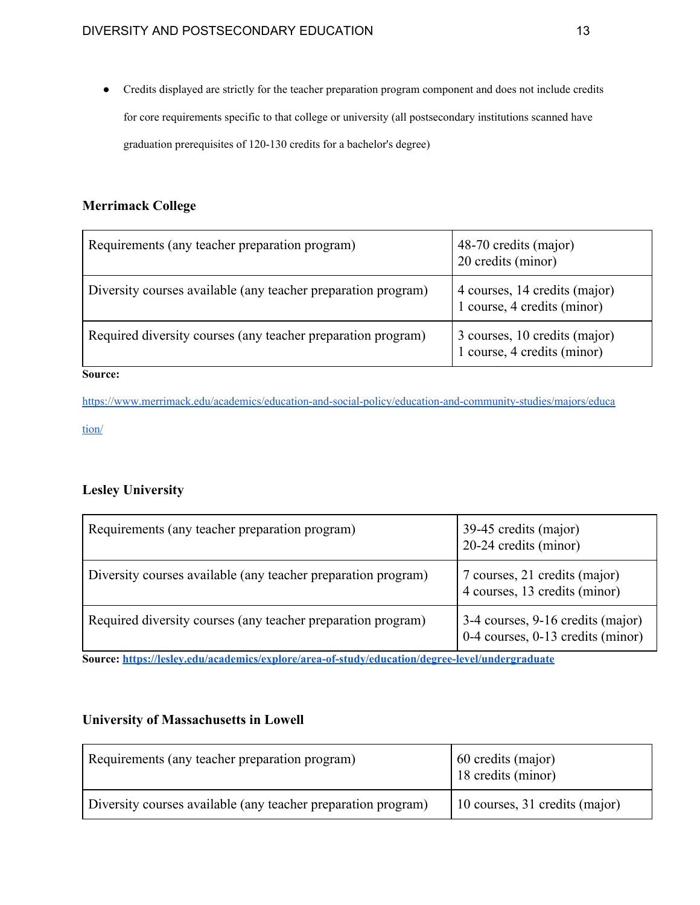● Credits displayed are strictly for the teacher preparation program component and does not include credits for core requirements specific to that college or university (all postsecondary institutions scanned have graduation prerequisites of 120-130 credits for a bachelor's degree)

# **Merrimack College**

| Requirements (any teacher preparation program)                | 48-70 credits (major)<br>20 credits (minor)                  |
|---------------------------------------------------------------|--------------------------------------------------------------|
| Diversity courses available (any teacher preparation program) | 4 courses, 14 credits (major)<br>1 course, 4 credits (minor) |
| Required diversity courses (any teacher preparation program)  | 3 courses, 10 credits (major)<br>1 course, 4 credits (minor) |

**Source:**

[https://www.merrimack.edu/academics/education-and-social-policy/education-and-community-studies/majors/educa](https://www.merrimack.edu/academics/education-and-social-policy/education-and-community-studies/majors/education/) [tion/](https://www.merrimack.edu/academics/education-and-social-policy/education-and-community-studies/majors/education/)

# **Lesley University**

| Requirements (any teacher preparation program)                | 39-45 credits (major)<br>20-24 credits (minor)                         |
|---------------------------------------------------------------|------------------------------------------------------------------------|
| Diversity courses available (any teacher preparation program) | 7 courses, 21 credits (major)<br>4 courses, 13 credits (minor)         |
| Required diversity courses (any teacher preparation program)  | 3-4 courses, 9-16 credits (major)<br>0-4 courses, 0-13 credits (minor) |

**Source: <https://lesley.edu/academics/explore/area-of-study/education/degree-level/undergraduate>**

# **University of Massachusetts in Lowell**

| Requirements (any teacher preparation program)                | 60 credits (major)<br>18 credits (minor) |
|---------------------------------------------------------------|------------------------------------------|
| Diversity courses available (any teacher preparation program) | 10 courses, 31 credits (major)           |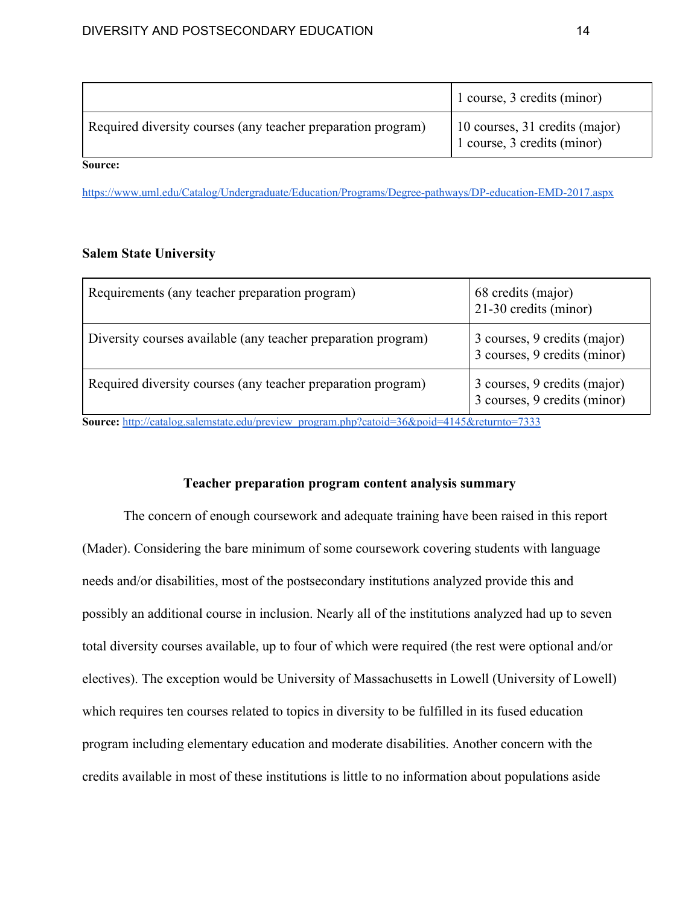|                                                              | 1 course, 3 credits (minor)                                   |
|--------------------------------------------------------------|---------------------------------------------------------------|
| Required diversity courses (any teacher preparation program) | 10 courses, 31 credits (major)<br>1 course, 3 credits (minor) |

**Source:**

<https://www.uml.edu/Catalog/Undergraduate/Education/Programs/Degree-pathways/DP-education-EMD-2017.aspx>

# **Salem State University**

| Requirements (any teacher preparation program)                | 68 credits (major)<br>21-30 credits (minor)                  |
|---------------------------------------------------------------|--------------------------------------------------------------|
| Diversity courses available (any teacher preparation program) | 3 courses, 9 credits (major)<br>3 courses, 9 credits (minor) |
| Required diversity courses (any teacher preparation program)  | 3 courses, 9 credits (major)<br>3 courses, 9 credits (minor) |

**Source:** [http://catalog.salemstate.edu/preview\\_program.php?catoid=36&poid=4145&returnto=7333](http://catalog.salemstate.edu/preview_program.php?catoid=36&poid=4145&returnto=7333)

# **Teacher preparation program content analysis summary**

The concern of enough coursework and adequate training have been raised in this report (Mader). Considering the bare minimum of some coursework covering students with language needs and/or disabilities, most of the postsecondary institutions analyzed provide this and possibly an additional course in inclusion. Nearly all of the institutions analyzed had up to seven total diversity courses available, up to four of which were required (the rest were optional and/or electives). The exception would be University of Massachusetts in Lowell (University of Lowell) which requires ten courses related to topics in diversity to be fulfilled in its fused education program including elementary education and moderate disabilities. Another concern with the credits available in most of these institutions is little to no information about populations aside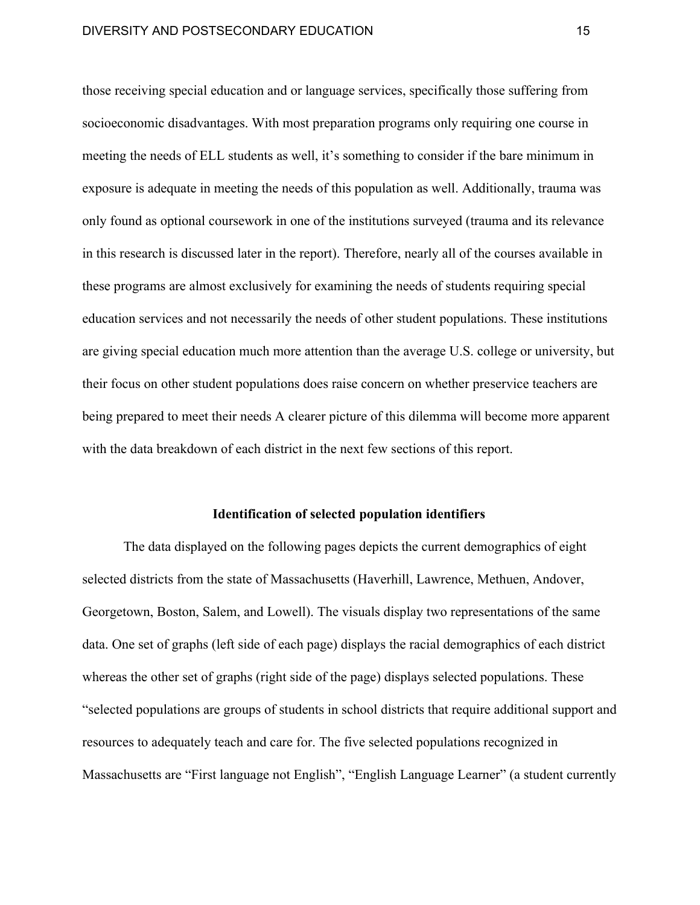those receiving special education and or language services, specifically those suffering from socioeconomic disadvantages. With most preparation programs only requiring one course in meeting the needs of ELL students as well, it's something to consider if the bare minimum in exposure is adequate in meeting the needs of this population as well. Additionally, trauma was only found as optional coursework in one of the institutions surveyed (trauma and its relevance in this research is discussed later in the report). Therefore, nearly all of the courses available in these programs are almost exclusively for examining the needs of students requiring special education services and not necessarily the needs of other student populations. These institutions are giving special education much more attention than the average U.S. college or university, but their focus on other student populations does raise concern on whether preservice teachers are being prepared to meet their needs A clearer picture of this dilemma will become more apparent with the data breakdown of each district in the next few sections of this report.

# **Identification of selected population identifiers**

The data displayed on the following pages depicts the current demographics of eight selected districts from the state of Massachusetts (Haverhill, Lawrence, Methuen, Andover, Georgetown, Boston, Salem, and Lowell). The visuals display two representations of the same data. One set of graphs (left side of each page) displays the racial demographics of each district whereas the other set of graphs (right side of the page) displays selected populations. These "selected populations are groups of students in school districts that require additional support and resources to adequately teach and care for. The five selected populations recognized in Massachusetts are "First language not English", "English Language Learner" (a student currently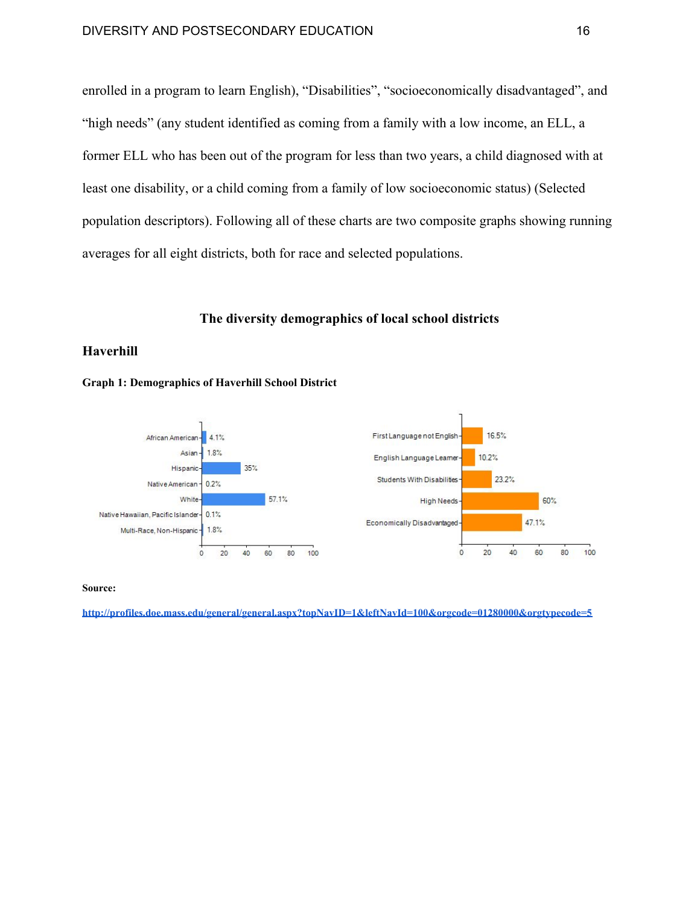enrolled in a program to learn English), "Disabilities", "socioeconomically disadvantaged", and "high needs" (any student identified as coming from a family with a low income, an ELL, a former ELL who has been out of the program for less than two years, a child diagnosed with at least one disability, or a child coming from a family of low socioeconomic status) (Selected population descriptors). Following all of these charts are two composite graphs showing running averages for all eight districts, both for race and selected populations.

#### **The diversity demographics of local school districts**

### **Haverhill**





**Source:**

**<http://profiles.doe.mass.edu/general/general.aspx?topNavID=1&leftNavId=100&orgcode=01280000&orgtypecode=5>**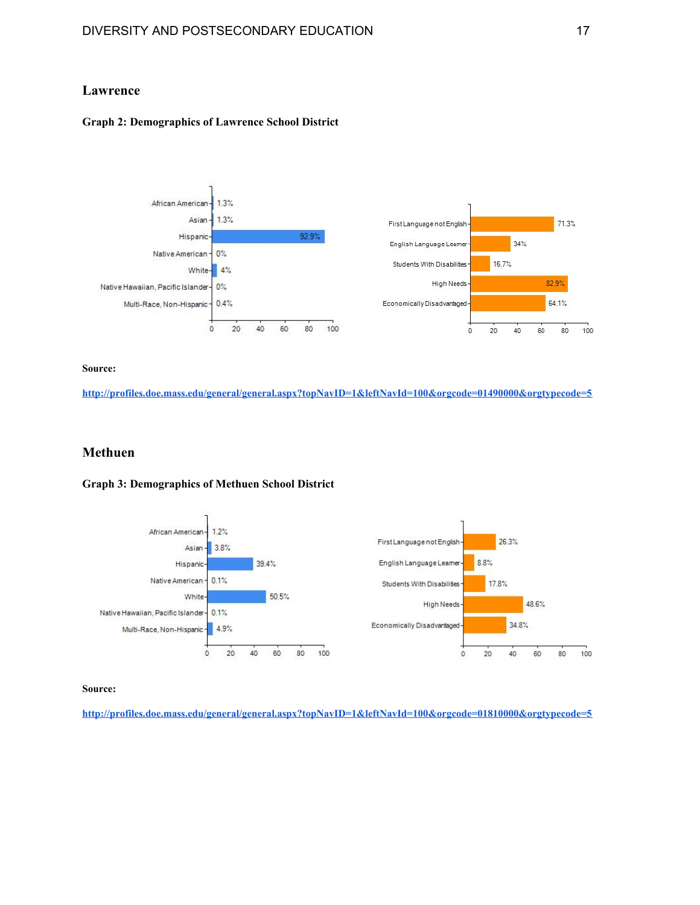# **Lawrence**

#### **Graph 2: Demographics of Lawrence School District**



#### **Source:**

**<http://profiles.doe.mass.edu/general/general.aspx?topNavID=1&leftNavId=100&orgcode=01490000&orgtypecode=5>**

### **Methuen**

# **Graph 3: Demographics of Methuen School District**



**Source:**

**<http://profiles.doe.mass.edu/general/general.aspx?topNavID=1&leftNavId=100&orgcode=01810000&orgtypecode=5>**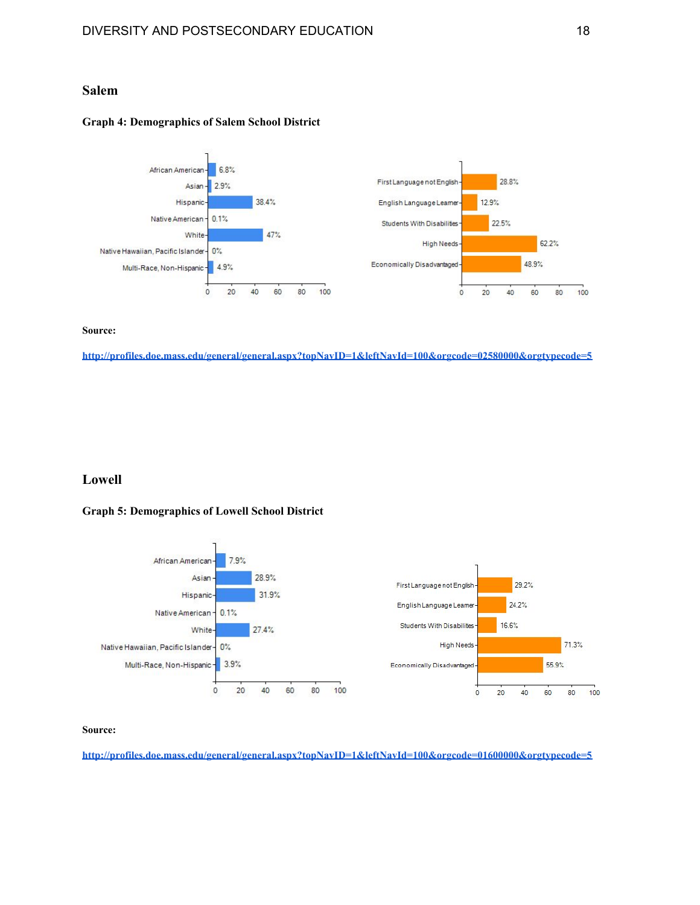# **Salem**

#### **Graph 4: Demographics of Salem School District**



#### **Source:**

**<http://profiles.doe.mass.edu/general/general.aspx?topNavID=1&leftNavId=100&orgcode=02580000&orgtypecode=5>**

# **Lowell**

#### **Graph 5: Demographics of Lowell School District**



#### **Source:**

**<http://profiles.doe.mass.edu/general/general.aspx?topNavID=1&leftNavId=100&orgcode=01600000&orgtypecode=5>**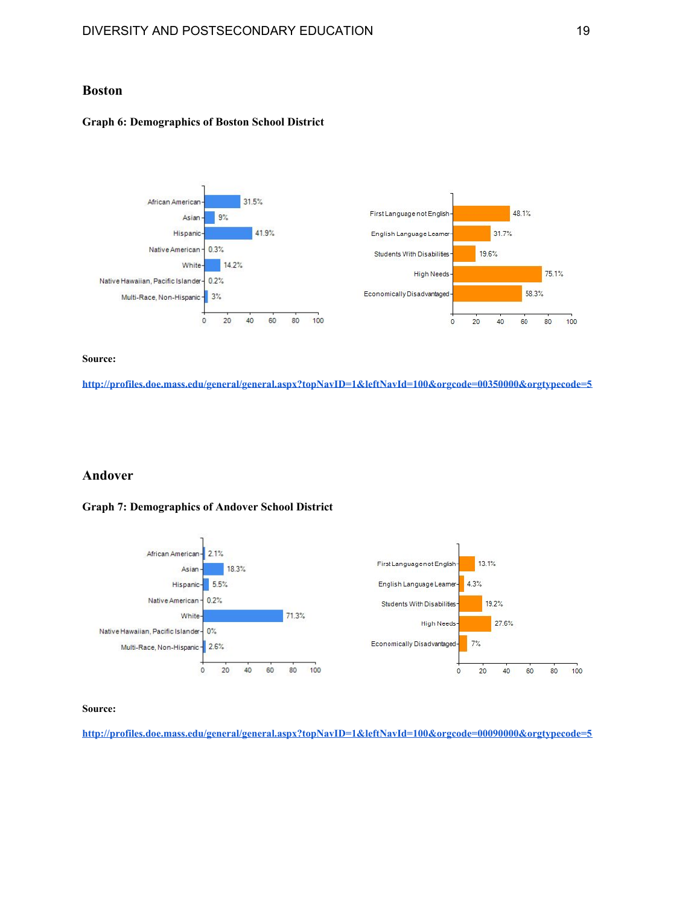### **Boston**

#### **Graph 6: Demographics of Boston School District**



#### **Source:**

**<http://profiles.doe.mass.edu/general/general.aspx?topNavID=1&leftNavId=100&orgcode=00350000&orgtypecode=5>**

#### **Andover**

#### **Graph 7: Demographics of Andover School District**



#### **Source:**

**<http://profiles.doe.mass.edu/general/general.aspx?topNavID=1&leftNavId=100&orgcode=00090000&orgtypecode=5>**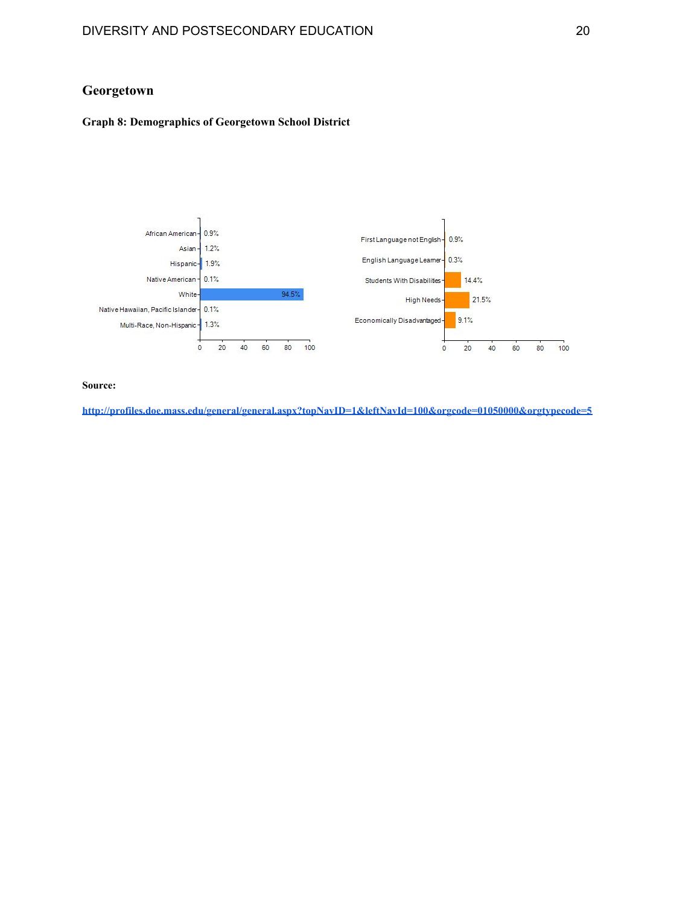# **Georgetown**

### **Graph 8: Demographics of Georgetown School District**



**Source:**

**<http://profiles.doe.mass.edu/general/general.aspx?topNavID=1&leftNavId=100&orgcode=01050000&orgtypecode=5>**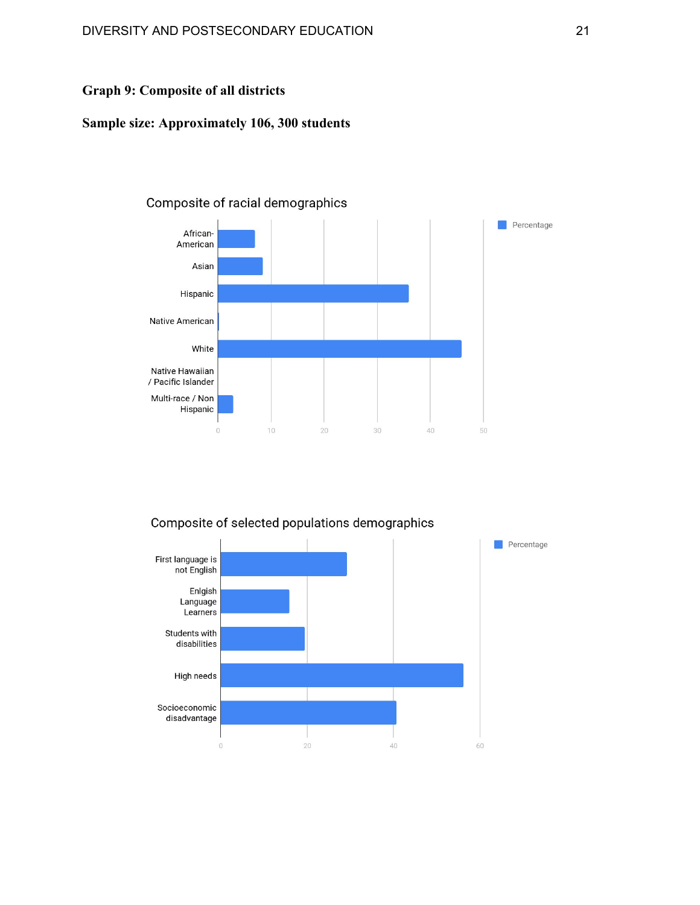# **Graph 9: Composite of all districts**

# **Sample size: Approximately 106, 300 students**

# Composite of racial demographics



### Composite of selected populations demographics

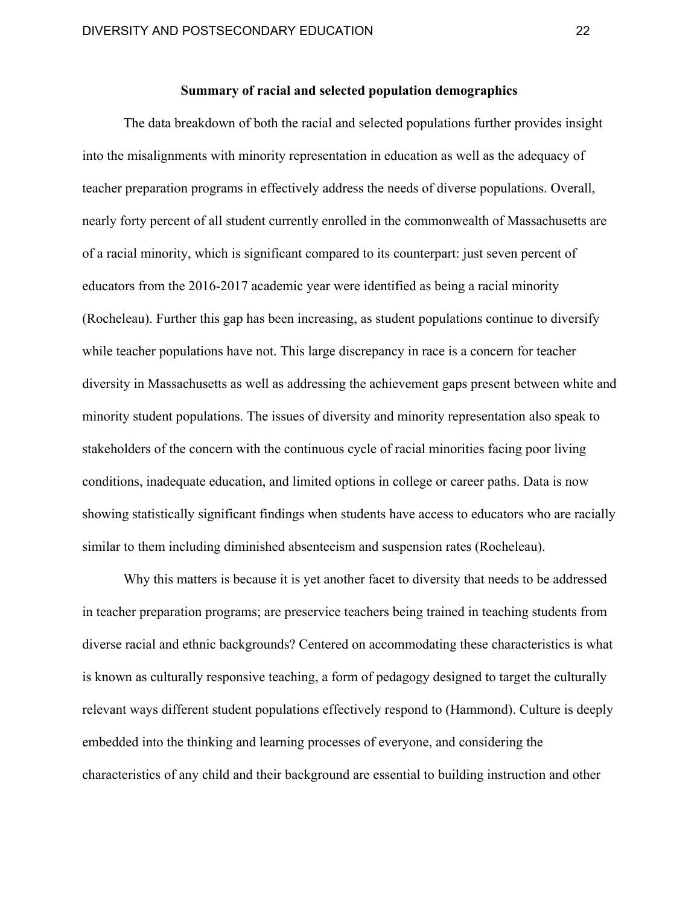# **Summary of racial and selected population demographics**

The data breakdown of both the racial and selected populations further provides insight into the misalignments with minority representation in education as well as the adequacy of teacher preparation programs in effectively address the needs of diverse populations. Overall, nearly forty percent of all student currently enrolled in the commonwealth of Massachusetts are of a racial minority, which is significant compared to its counterpart: just seven percent of educators from the 2016-2017 academic year were identified as being a racial minority (Rocheleau). Further this gap has been increasing, as student populations continue to diversify while teacher populations have not. This large discrepancy in race is a concern for teacher diversity in Massachusetts as well as addressing the achievement gaps present between white and minority student populations. The issues of diversity and minority representation also speak to stakeholders of the concern with the continuous cycle of racial minorities facing poor living conditions, inadequate education, and limited options in college or career paths. Data is now showing statistically significant findings when students have access to educators who are racially similar to them including diminished absenteeism and suspension rates (Rocheleau).

Why this matters is because it is yet another facet to diversity that needs to be addressed in teacher preparation programs; are preservice teachers being trained in teaching students from diverse racial and ethnic backgrounds? Centered on accommodating these characteristics is what is known as culturally responsive teaching, a form of pedagogy designed to target the culturally relevant ways different student populations effectively respond to (Hammond). Culture is deeply embedded into the thinking and learning processes of everyone, and considering the characteristics of any child and their background are essential to building instruction and other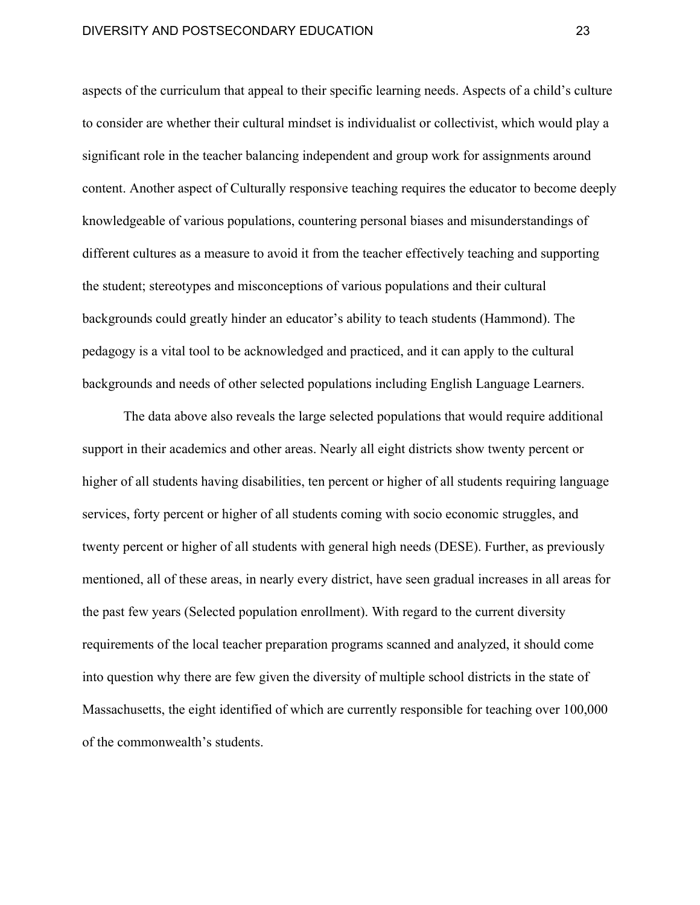aspects of the curriculum that appeal to their specific learning needs. Aspects of a child's culture to consider are whether their cultural mindset is individualist or collectivist, which would play a significant role in the teacher balancing independent and group work for assignments around content. Another aspect of Culturally responsive teaching requires the educator to become deeply knowledgeable of various populations, countering personal biases and misunderstandings of different cultures as a measure to avoid it from the teacher effectively teaching and supporting the student; stereotypes and misconceptions of various populations and their cultural backgrounds could greatly hinder an educator's ability to teach students (Hammond). The pedagogy is a vital tool to be acknowledged and practiced, and it can apply to the cultural backgrounds and needs of other selected populations including English Language Learners.

The data above also reveals the large selected populations that would require additional support in their academics and other areas. Nearly all eight districts show twenty percent or higher of all students having disabilities, ten percent or higher of all students requiring language services, forty percent or higher of all students coming with socio economic struggles, and twenty percent or higher of all students with general high needs (DESE). Further, as previously mentioned, all of these areas, in nearly every district, have seen gradual increases in all areas for the past few years (Selected population enrollment). With regard to the current diversity requirements of the local teacher preparation programs scanned and analyzed, it should come into question why there are few given the diversity of multiple school districts in the state of Massachusetts, the eight identified of which are currently responsible for teaching over 100,000 of the commonwealth's students.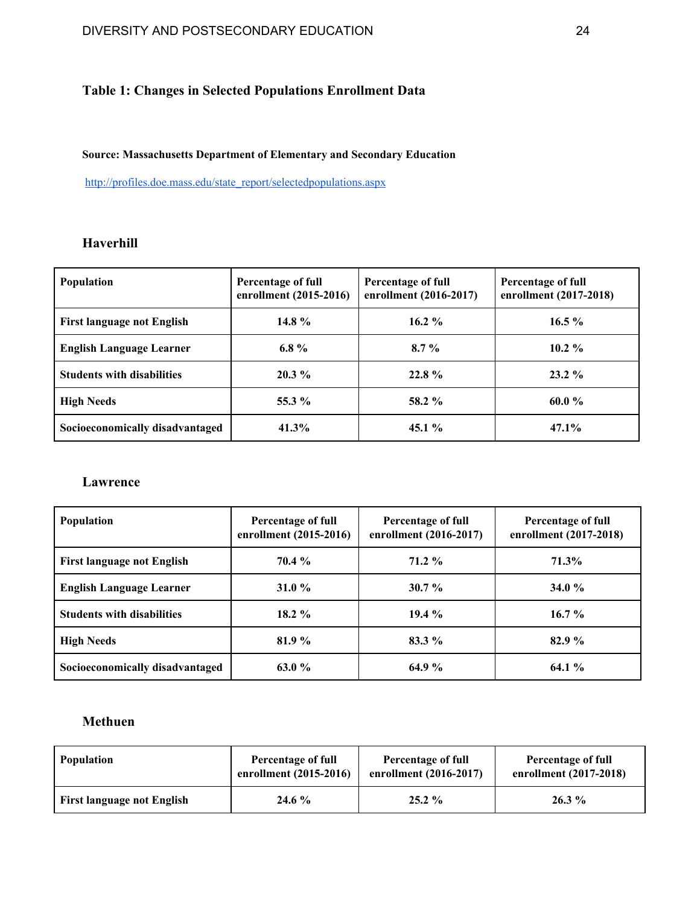# **Table 1: Changes in Selected Populations Enrollment Data**

**Source: Massachusetts Department of Elementary and Secondary Education**

[http://profiles.doe.mass.edu/state\\_report/selectedpopulations.aspx](http://profiles.doe.mass.edu/state_report/selectedpopulations.aspx)

# **Haverhill**

| Population                        | Percentage of full<br>enrollment (2015-2016) | Percentage of full<br>enrollment (2016-2017) | Percentage of full<br>enrollment (2017-2018) |
|-----------------------------------|----------------------------------------------|----------------------------------------------|----------------------------------------------|
| <b>First language not English</b> | 14.8 %                                       | $16.2\%$                                     | $16.5\%$                                     |
| <b>English Language Learner</b>   | 6.8 $%$                                      | $8.7\%$                                      | 10.2 $\%$                                    |
| <b>Students with disabilities</b> | $20.3\%$                                     | $22.8\%$                                     | $23.2\%$                                     |
| <b>High Needs</b>                 | 55.3 %                                       | 58.2 %                                       | $60.0\%$                                     |
| Socioeconomically disadvantaged   | 41.3%                                        | 45.1 $%$                                     | $47.1\%$                                     |

# **Lawrence**

| <b>Population</b>                 | Percentage of full<br>enrollment (2015-2016) | Percentage of full<br>enrollment (2016-2017) | Percentage of full<br>enrollment (2017-2018) |
|-----------------------------------|----------------------------------------------|----------------------------------------------|----------------------------------------------|
| <b>First language not English</b> | $70.4\%$                                     | $71.2\%$                                     | 71.3%                                        |
| <b>English Language Learner</b>   | 31.0 $%$                                     | $30.7 \%$                                    | 34.0 $\%$                                    |
| <b>Students with disabilities</b> | $18.2 \%$                                    | $19.4\%$                                     | $16.7\%$                                     |
| <b>High Needs</b>                 | 81.9 %                                       | $83.3\%$                                     | $82.9\%$                                     |
| Socioeconomically disadvantaged   | 63.0%                                        | 64.9%                                        | $64.1\%$                                     |

# **Methuen**

| <b>Population</b>                 | Percentage of full     | Percentage of full       | Percentage of full     |
|-----------------------------------|------------------------|--------------------------|------------------------|
|                                   | enrollment (2015-2016) | enrollment $(2016-2017)$ | enrollment (2017-2018) |
| <b>First language not English</b> | 24.6 %                 | $25.2\%$                 | $26.3\%$               |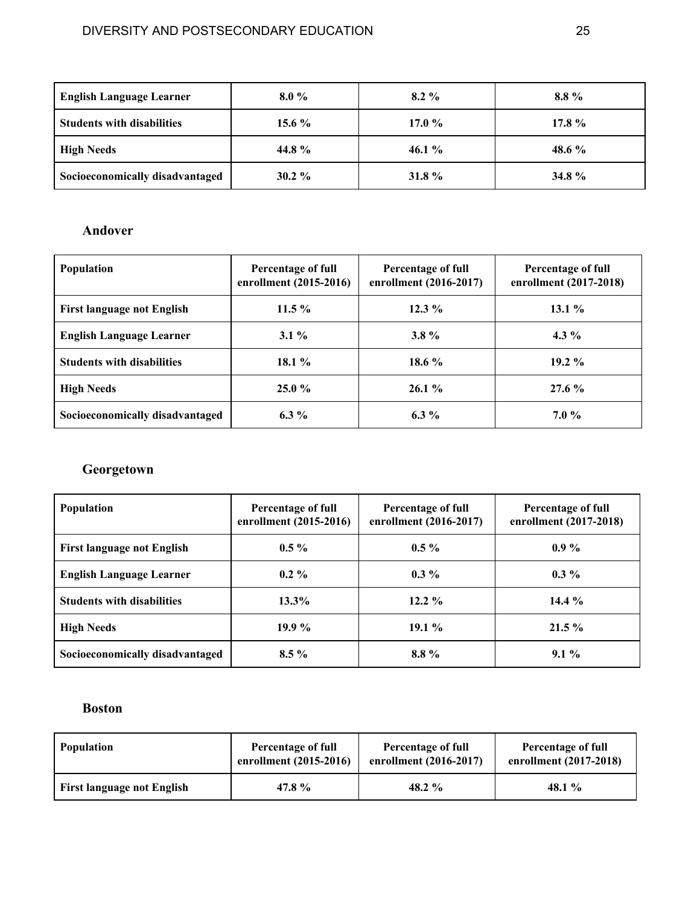| <b>English Language Learner</b>   | $8.0\%$   | $8.2\%$   | $8.8\%$   |
|-----------------------------------|-----------|-----------|-----------|
| <b>Students with disabilities</b> | 15.6 $%$  | 17.0 $%$  | 17.8 $%$  |
| <b>High Needs</b>                 | 44.8%     | 46.1 $\%$ | 48.6 $\%$ |
| Socioeconomically disadvantaged   | $30.2 \%$ | 31.8 $%$  | 34.8 $%$  |

# **Andover**

| Population                        | Percentage of full<br>enrollment (2015-2016) | Percentage of full<br>enrollment (2016-2017) | Percentage of full<br>enrollment (2017-2018) |
|-----------------------------------|----------------------------------------------|----------------------------------------------|----------------------------------------------|
| <b>First language not English</b> | $11.5\%$                                     | $12.3\%$                                     | $13.1\%$                                     |
| <b>English Language Learner</b>   | $3.1\%$                                      | $3.8\%$                                      | 4.3 $\%$                                     |
| <b>Students with disabilities</b> | 18.1 $%$                                     | 18.6 $%$                                     | $19.2\%$                                     |
| <b>High Needs</b>                 | $25.0 \%$                                    | $26.1\%$                                     | $27.6\%$                                     |
| Socioeconomically disadvantaged   | 6.3 $%$                                      | 6.3 $%$                                      | $7.0\%$                                      |

# **Georgetown**

| <b>Population</b>                 | Percentage of full<br>enrollment (2015-2016) | Percentage of full<br>enrollment (2016-2017) | Percentage of full<br>enrollment (2017-2018) |
|-----------------------------------|----------------------------------------------|----------------------------------------------|----------------------------------------------|
| <b>First language not English</b> | $0.5 \%$                                     | $0.5\%$                                      | $0.9\%$                                      |
| <b>English Language Learner</b>   | $0.2\%$                                      | $0.3\%$                                      | $0.3\%$                                      |
| <b>Students with disabilities</b> | $13.3\%$                                     | $12.2\%$                                     | 14.4 $%$                                     |
| <b>High Needs</b>                 | 19.9 $%$                                     | $19.1\%$                                     | $21.5\%$                                     |
| Socioeconomically disadvantaged   | $8.5\%$                                      | 8.8%                                         | $9.1\%$                                      |

# **Boston**

| <b>Population</b>                 | Percentage of full     | Percentage of full     | Percentage of full     |
|-----------------------------------|------------------------|------------------------|------------------------|
|                                   | enrollment (2015-2016) | enrollment (2016-2017) | enrollment (2017-2018) |
| <b>First language not English</b> | 47.8%                  | 48.2 $\%$              | 48.1 $\%$              |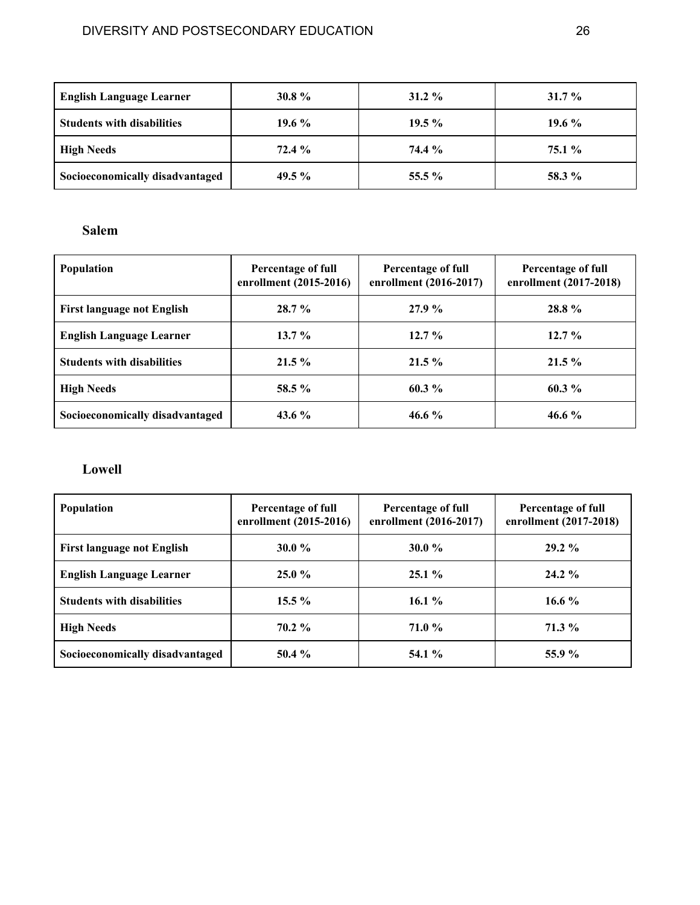| <b>English Language Learner</b>   | 30.8 $%$ | $31.2 \%$ | $31.7\%$ |
|-----------------------------------|----------|-----------|----------|
| <b>Students with disabilities</b> | 19.6 $%$ | $19.5\%$  | 19.6 $%$ |
| <b>High Needs</b>                 | $72.4\%$ | 74.4 %    | $75.1\%$ |
| Socioeconomically disadvantaged   | 49.5 $%$ | 55.5 $%$  | 58.3 %   |

# **Salem**

| <b>Population</b>                 | Percentage of full<br>enrollment (2015-2016) | Percentage of full<br>enrollment (2016-2017) | Percentage of full<br>enrollment (2017-2018) |
|-----------------------------------|----------------------------------------------|----------------------------------------------|----------------------------------------------|
| <b>First language not English</b> | $28.7\%$                                     | 27.9%                                        | 28.8%                                        |
| <b>English Language Learner</b>   | $13.7\%$                                     | $12.7\%$                                     | $12.7\%$                                     |
| <b>Students with disabilities</b> | $21.5\%$                                     | $21.5\%$                                     | $21.5\%$                                     |
| <b>High Needs</b>                 | $58.5 \%$                                    | $60.3\%$                                     | $60.3\%$                                     |
| Socioeconomically disadvantaged   | 43.6 $\%$                                    | 46.6 $%$                                     | 46.6 $%$                                     |

# **Lowell**

| Population                        | Percentage of full<br>enrollment (2015-2016) | Percentage of full<br>enrollment (2016-2017) | Percentage of full<br>enrollment (2017-2018) |
|-----------------------------------|----------------------------------------------|----------------------------------------------|----------------------------------------------|
| <b>First language not English</b> | 30.0 $\%$                                    | 30.0 $%$                                     | $29.2\%$                                     |
| <b>English Language Learner</b>   | $25.0 \%$                                    | $25.1\%$                                     | $24.2 \%$                                    |
| <b>Students with disabilities</b> | $15.5 \%$                                    | 16.1 $%$                                     | 16.6 $%$                                     |
| <b>High Needs</b>                 | $70.2 \%$                                    | <b>71.0 %</b>                                | $71.3\%$                                     |
| Socioeconomically disadvantaged   | $50.4\%$                                     | <b>54.1</b> %                                | 55.9 %                                       |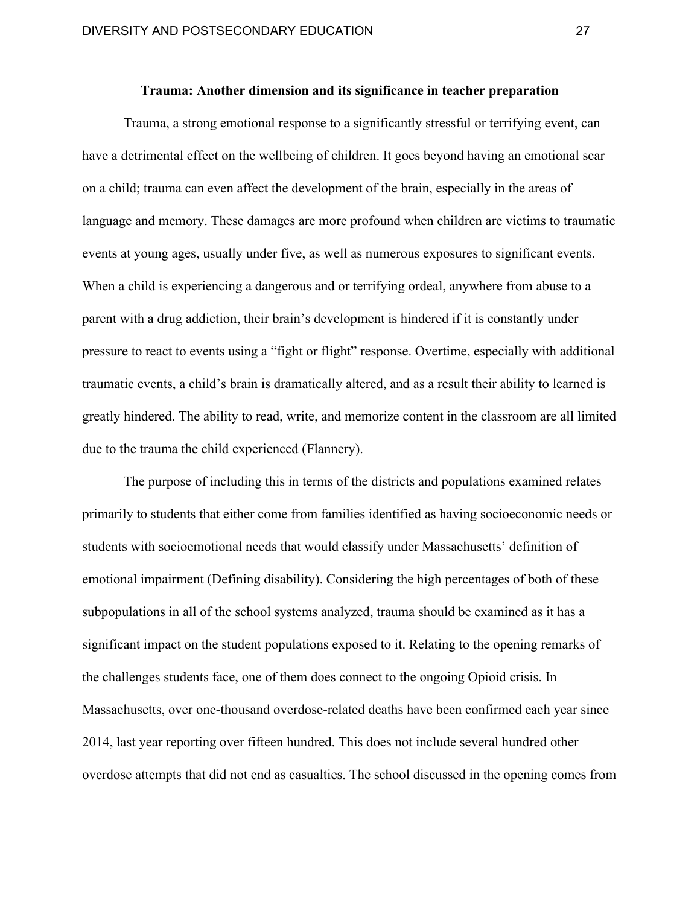# **Trauma: Another dimension and its significance in teacher preparation**

Trauma, a strong emotional response to a significantly stressful or terrifying event, can have a detrimental effect on the wellbeing of children. It goes beyond having an emotional scar on a child; trauma can even affect the development of the brain, especially in the areas of language and memory. These damages are more profound when children are victims to traumatic events at young ages, usually under five, as well as numerous exposures to significant events. When a child is experiencing a dangerous and or terrifying ordeal, anywhere from abuse to a parent with a drug addiction, their brain's development is hindered if it is constantly under pressure to react to events using a "fight or flight" response. Overtime, especially with additional traumatic events, a child's brain is dramatically altered, and as a result their ability to learned is greatly hindered. The ability to read, write, and memorize content in the classroom are all limited due to the trauma the child experienced (Flannery).

The purpose of including this in terms of the districts and populations examined relates primarily to students that either come from families identified as having socioeconomic needs or students with socioemotional needs that would classify under Massachusetts' definition of emotional impairment (Defining disability). Considering the high percentages of both of these subpopulations in all of the school systems analyzed, trauma should be examined as it has a significant impact on the student populations exposed to it. Relating to the opening remarks of the challenges students face, one of them does connect to the ongoing Opioid crisis. In Massachusetts, over one-thousand overdose-related deaths have been confirmed each year since 2014, last year reporting over fifteen hundred. This does not include several hundred other overdose attempts that did not end as casualties. The school discussed in the opening comes from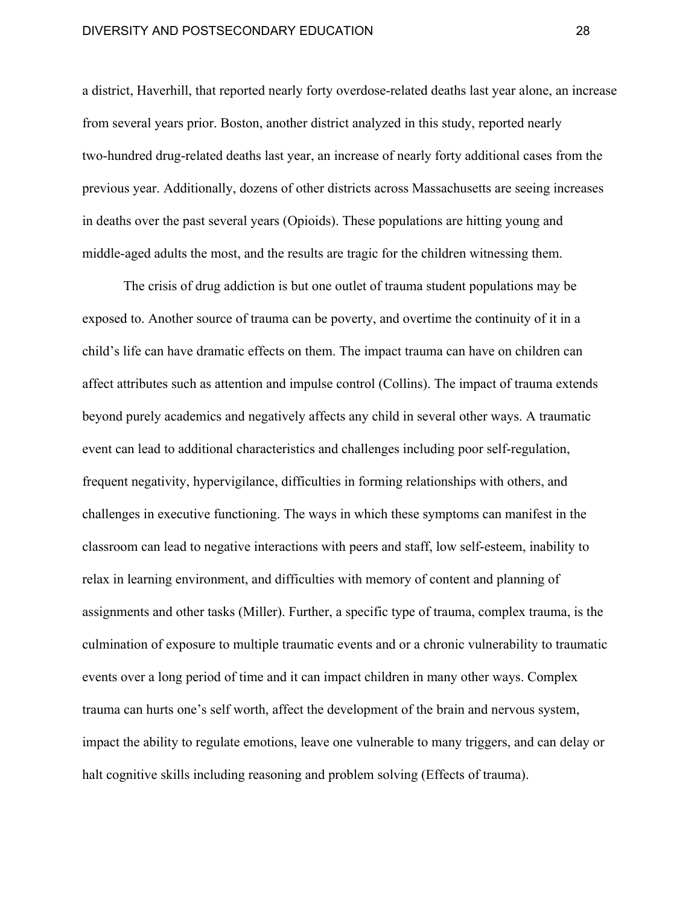### DIVERSITY AND POSTSECONDARY EDUCATION 28

a district, Haverhill, that reported nearly forty overdose-related deaths last year alone, an increase from several years prior. Boston, another district analyzed in this study, reported nearly two-hundred drug-related deaths last year, an increase of nearly forty additional cases from the previous year. Additionally, dozens of other districts across Massachusetts are seeing increases in deaths over the past several years (Opioids). These populations are hitting young and middle-aged adults the most, and the results are tragic for the children witnessing them.

The crisis of drug addiction is but one outlet of trauma student populations may be exposed to. Another source of trauma can be poverty, and overtime the continuity of it in a child's life can have dramatic effects on them. The impact trauma can have on children can affect attributes such as attention and impulse control (Collins). The impact of trauma extends beyond purely academics and negatively affects any child in several other ways. A traumatic event can lead to additional characteristics and challenges including poor self-regulation, frequent negativity, hypervigilance, difficulties in forming relationships with others, and challenges in executive functioning. The ways in which these symptoms can manifest in the classroom can lead to negative interactions with peers and staff, low self-esteem, inability to relax in learning environment, and difficulties with memory of content and planning of assignments and other tasks (Miller). Further, a specific type of trauma, complex trauma, is the culmination of exposure to multiple traumatic events and or a chronic vulnerability to traumatic events over a long period of time and it can impact children in many other ways. Complex trauma can hurts one's self worth, affect the development of the brain and nervous system, impact the ability to regulate emotions, leave one vulnerable to many triggers, and can delay or halt cognitive skills including reasoning and problem solving (Effects of trauma).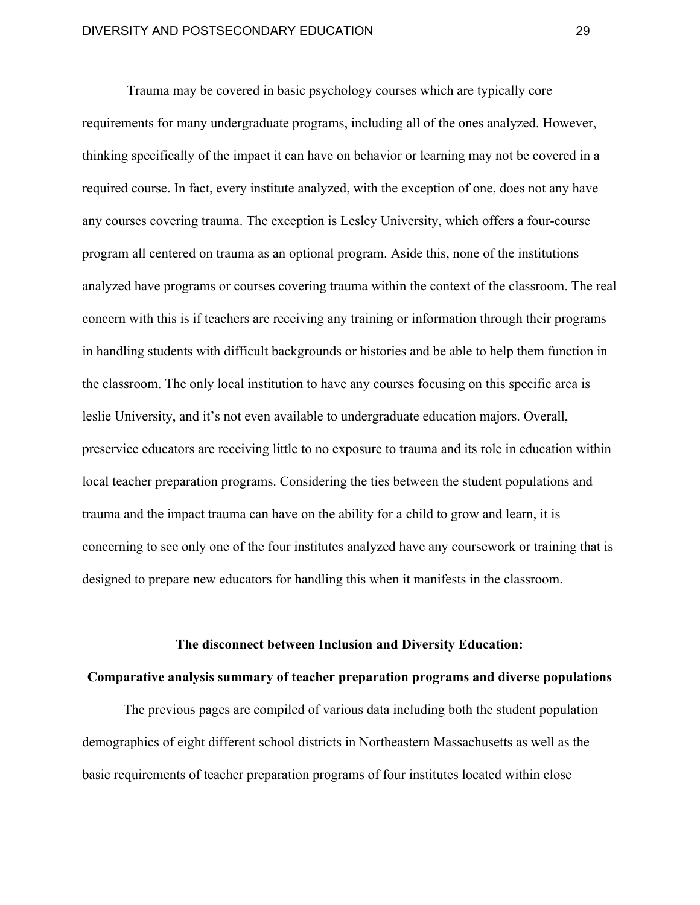Trauma may be covered in basic psychology courses which are typically core requirements for many undergraduate programs, including all of the ones analyzed. However, thinking specifically of the impact it can have on behavior or learning may not be covered in a required course. In fact, every institute analyzed, with the exception of one, does not any have any courses covering trauma. The exception is Lesley University, which offers a four-course program all centered on trauma as an optional program. Aside this, none of the institutions analyzed have programs or courses covering trauma within the context of the classroom. The real concern with this is if teachers are receiving any training or information through their programs in handling students with difficult backgrounds or histories and be able to help them function in the classroom. The only local institution to have any courses focusing on this specific area is leslie University, and it's not even available to undergraduate education majors. Overall, preservice educators are receiving little to no exposure to trauma and its role in education within local teacher preparation programs. Considering the ties between the student populations and trauma and the impact trauma can have on the ability for a child to grow and learn, it is concerning to see only one of the four institutes analyzed have any coursework or training that is designed to prepare new educators for handling this when it manifests in the classroom.

#### **The disconnect between Inclusion and Diversity Education:**

#### **Comparative analysis summary of teacher preparation programs and diverse populations**

The previous pages are compiled of various data including both the student population demographics of eight different school districts in Northeastern Massachusetts as well as the basic requirements of teacher preparation programs of four institutes located within close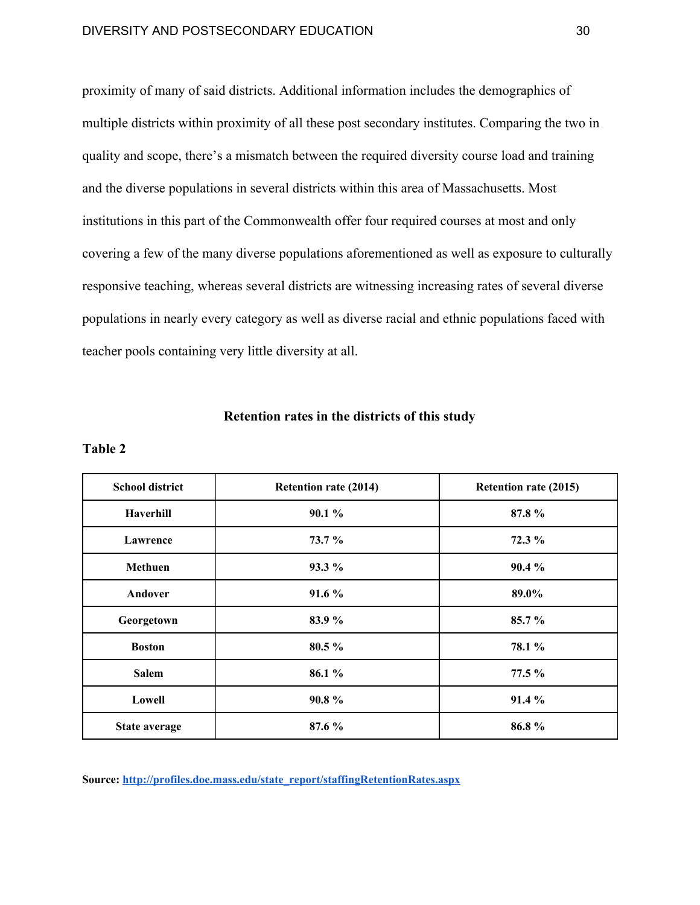proximity of many of said districts. Additional information includes the demographics of multiple districts within proximity of all these post secondary institutes. Comparing the two in quality and scope, there's a mismatch between the required diversity course load and training and the diverse populations in several districts within this area of Massachusetts. Most institutions in this part of the Commonwealth offer four required courses at most and only covering a few of the many diverse populations aforementioned as well as exposure to culturally responsive teaching, whereas several districts are witnessing increasing rates of several diverse populations in nearly every category as well as diverse racial and ethnic populations faced with teacher pools containing very little diversity at all.

#### **Retention rates in the districts of this study**

### **Table 2**

| <b>School district</b> | <b>Retention rate (2014)</b> | <b>Retention rate (2015)</b> |
|------------------------|------------------------------|------------------------------|
| Haverhill              | 90.1%                        | 87.8%                        |
| Lawrence               | 73.7 %                       | 72.3 %                       |
| Methuen                | 93.3 %                       | 90.4 %                       |
| Andover                | 91.6%                        | 89.0%                        |
| Georgetown             | 83.9%                        | 85.7%                        |
| <b>Boston</b>          | 80.5 %                       | 78.1 %                       |
| <b>Salem</b>           | 86.1 %                       | 77.5 %                       |
| Lowell                 | 90.8%                        | 91.4 %                       |
| <b>State average</b>   | 87.6 %                       | 86.8%                        |

**Source: [http://profiles.doe.mass.edu/state\\_report/staffingRetentionRates.aspx](http://profiles.doe.mass.edu/state_report/staffingRetentionRates.aspx)**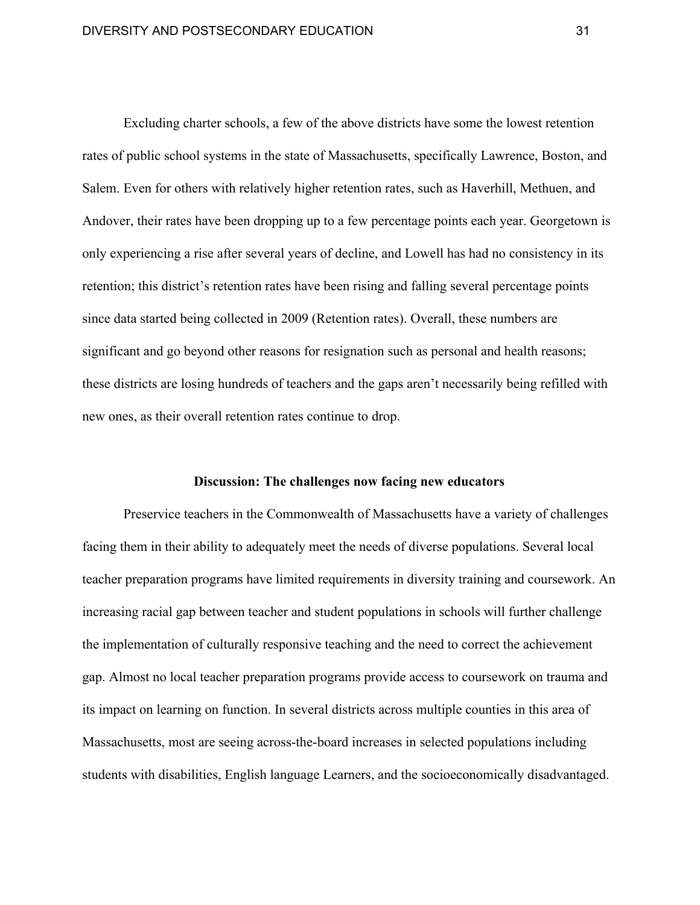Excluding charter schools, a few of the above districts have some the lowest retention rates of public school systems in the state of Massachusetts, specifically Lawrence, Boston, and Salem. Even for others with relatively higher retention rates, such as Haverhill, Methuen, and Andover, their rates have been dropping up to a few percentage points each year. Georgetown is only experiencing a rise after several years of decline, and Lowell has had no consistency in its retention; this district's retention rates have been rising and falling several percentage points since data started being collected in 2009 (Retention rates). Overall, these numbers are significant and go beyond other reasons for resignation such as personal and health reasons; these districts are losing hundreds of teachers and the gaps aren't necessarily being refilled with new ones, as their overall retention rates continue to drop.

### **Discussion: The challenges now facing new educators**

Preservice teachers in the Commonwealth of Massachusetts have a variety of challenges facing them in their ability to adequately meet the needs of diverse populations. Several local teacher preparation programs have limited requirements in diversity training and coursework. An increasing racial gap between teacher and student populations in schools will further challenge the implementation of culturally responsive teaching and the need to correct the achievement gap. Almost no local teacher preparation programs provide access to coursework on trauma and its impact on learning on function. In several districts across multiple counties in this area of Massachusetts, most are seeing across-the-board increases in selected populations including students with disabilities, English language Learners, and the socioeconomically disadvantaged.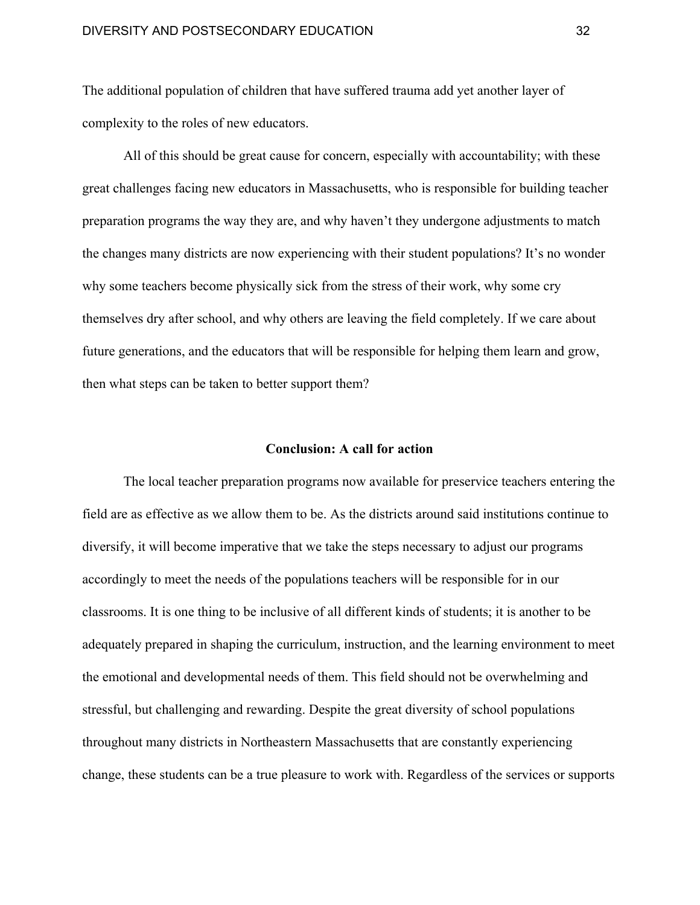The additional population of children that have suffered trauma add yet another layer of complexity to the roles of new educators.

All of this should be great cause for concern, especially with accountability; with these great challenges facing new educators in Massachusetts, who is responsible for building teacher preparation programs the way they are, and why haven't they undergone adjustments to match the changes many districts are now experiencing with their student populations? It's no wonder why some teachers become physically sick from the stress of their work, why some cry themselves dry after school, and why others are leaving the field completely. If we care about future generations, and the educators that will be responsible for helping them learn and grow, then what steps can be taken to better support them?

### **Conclusion: A call for action**

The local teacher preparation programs now available for preservice teachers entering the field are as effective as we allow them to be. As the districts around said institutions continue to diversify, it will become imperative that we take the steps necessary to adjust our programs accordingly to meet the needs of the populations teachers will be responsible for in our classrooms. It is one thing to be inclusive of all different kinds of students; it is another to be adequately prepared in shaping the curriculum, instruction, and the learning environment to meet the emotional and developmental needs of them. This field should not be overwhelming and stressful, but challenging and rewarding. Despite the great diversity of school populations throughout many districts in Northeastern Massachusetts that are constantly experiencing change, these students can be a true pleasure to work with. Regardless of the services or supports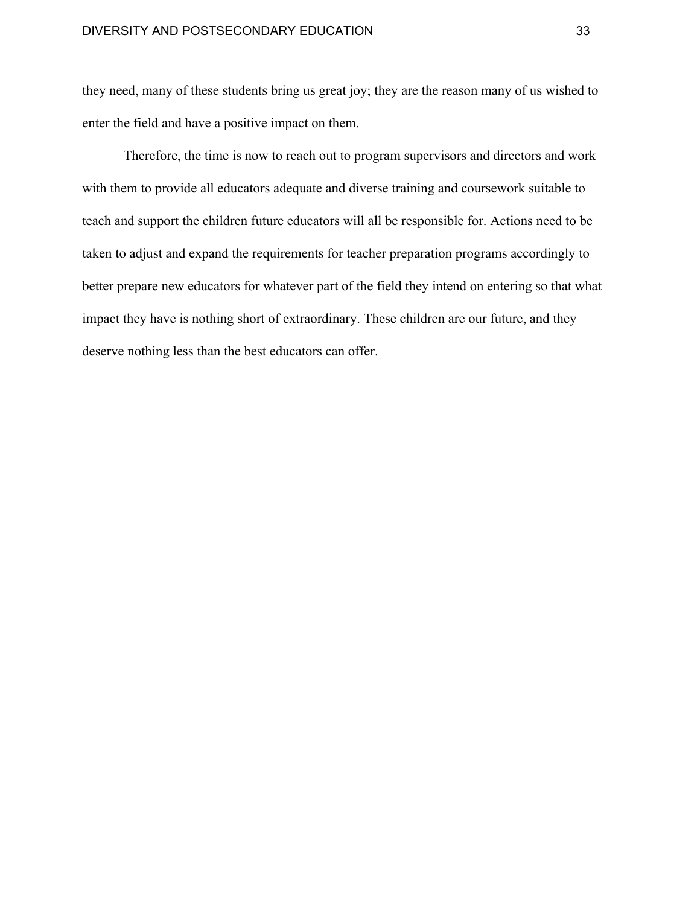they need, many of these students bring us great joy; they are the reason many of us wished to enter the field and have a positive impact on them.

Therefore, the time is now to reach out to program supervisors and directors and work with them to provide all educators adequate and diverse training and coursework suitable to teach and support the children future educators will all be responsible for. Actions need to be taken to adjust and expand the requirements for teacher preparation programs accordingly to better prepare new educators for whatever part of the field they intend on entering so that what impact they have is nothing short of extraordinary. These children are our future, and they deserve nothing less than the best educators can offer.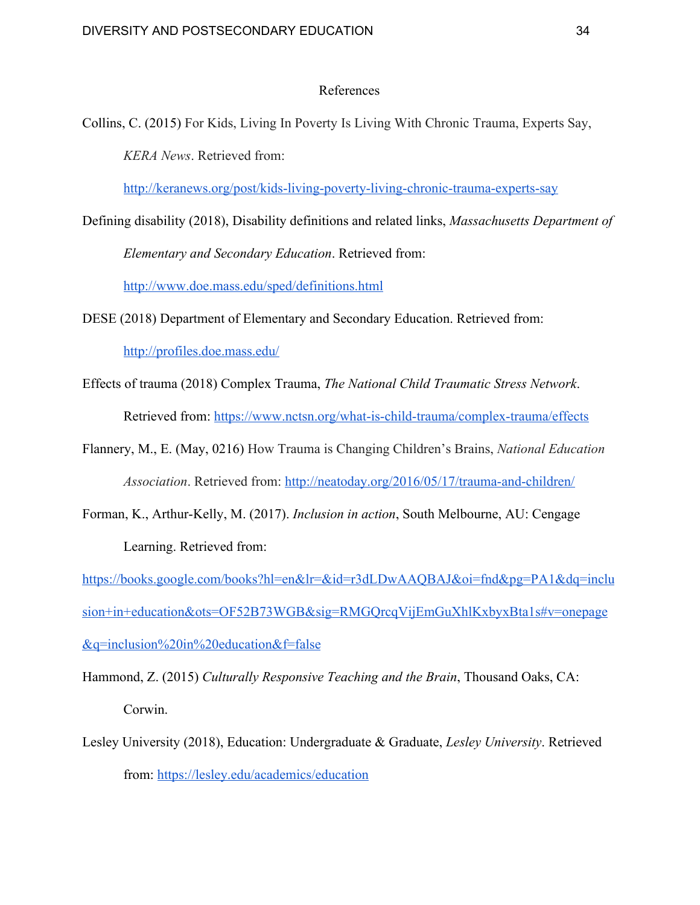## References

Collins, C. (2015) For Kids, Living In Poverty Is Living With Chronic Trauma, Experts Say, *KERA News*. Retrieved from:

<http://keranews.org/post/kids-living-poverty-living-chronic-trauma-experts-say>

- Defining disability (2018), Disability definitions and related links, *Massachusetts Department of Elementary and Secondary Education*. Retrieved from: <http://www.doe.mass.edu/sped/definitions.html>
- DESE (2018) Department of Elementary and Secondary Education. Retrieved from: <http://profiles.doe.mass.edu/>
- Effects of trauma (2018) Complex Trauma, *The National Child Traumatic Stress Network*. Retrieved from: <https://www.nctsn.org/what-is-child-trauma/complex-trauma/effects>
- Flannery, M., E. (May, 0216) How Trauma is Changing Children's Brains, *National Education Association*. Retrieved from:<http://neatoday.org/2016/05/17/trauma-and-children/>
- Forman, K., Arthur-Kelly, M. (2017). *Inclusion in action*, South Melbourne, AU: Cengage Learning. Retrieved from:

[https://books.google.com/books?hl=en&lr=&id=r3dLDwAAQBAJ&oi=fnd&pg=PA1&dq=inclu](https://books.google.com/books?hl=en&lr=&id=r3dLDwAAQBAJ&oi=fnd&pg=PA1&dq=inclusion+in+education&ots=OF52B73WGB&sig=RMGQrcqVijEmGuXhlKxbyxBta1s#v=onepage&q=inclusion%20in%20education&f=false) [sion+in+education&ots=OF52B73WGB&sig=RMGQrcqVijEmGuXhlKxbyxBta1s#v=onepage](https://books.google.com/books?hl=en&lr=&id=r3dLDwAAQBAJ&oi=fnd&pg=PA1&dq=inclusion+in+education&ots=OF52B73WGB&sig=RMGQrcqVijEmGuXhlKxbyxBta1s#v=onepage&q=inclusion%20in%20education&f=false) [&q=inclusion%20in%20education&f=false](https://books.google.com/books?hl=en&lr=&id=r3dLDwAAQBAJ&oi=fnd&pg=PA1&dq=inclusion+in+education&ots=OF52B73WGB&sig=RMGQrcqVijEmGuXhlKxbyxBta1s#v=onepage&q=inclusion%20in%20education&f=false)

Hammond, Z. (2015) *Culturally Responsive Teaching and the Brain*, Thousand Oaks, CA: Corwin.

Lesley University (2018), Education: Undergraduate & Graduate, *Lesley University*. Retrieved from: <https://lesley.edu/academics/education>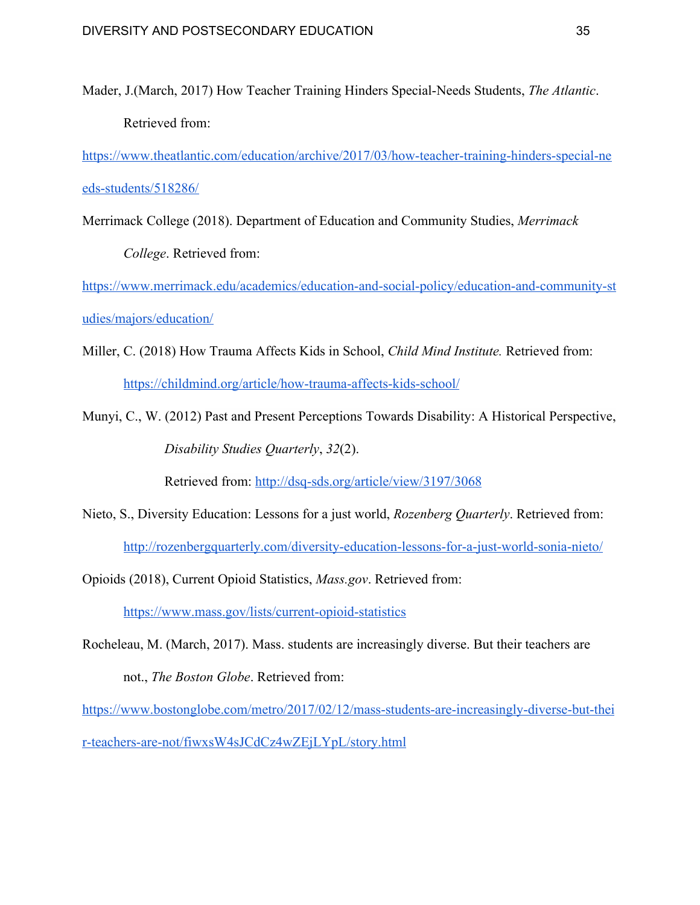Mader, J.(March, 2017) How Teacher Training Hinders Special-Needs Students, *The Atlantic*. Retrieved from:

[https://www.theatlantic.com/education/archive/2017/03/how-teacher-training-hinders-special-ne](https://www.theatlantic.com/education/archive/2017/03/how-teacher-training-hinders-special-needs-students/518286/) [eds-students/518286/](https://www.theatlantic.com/education/archive/2017/03/how-teacher-training-hinders-special-needs-students/518286/)

Merrimack College (2018). Department of Education and Community Studies, *Merrimack*

*College*. Retrieved from:

[https://www.merrimack.edu/academics/education-and-social-policy/education-and-community-st](https://www.merrimack.edu/academics/education-and-social-policy/education-and-community-studies/majors/education/) [udies/majors/education/](https://www.merrimack.edu/academics/education-and-social-policy/education-and-community-studies/majors/education/)

- Miller, C. (2018) How Trauma Affects Kids in School, *Child Mind Institute.* Retrieved from: <https://childmind.org/article/how-trauma-affects-kids-school/>
- Munyi, C., W. (2012) Past and Present Perceptions Towards Disability: A Historical Perspective, *Disability Studies Quarterly*, *32*(2).

Retrieved from: <http://dsq-sds.org/article/view/3197/3068>

Nieto, S., Diversity Education: Lessons for a just world, *Rozenberg Quarterly*. Retrieved from: <http://rozenbergquarterly.com/diversity-education-lessons-for-a-just-world-sonia-nieto/>

Opioids (2018), Current Opioid Statistics, *Mass.gov*. Retrieved from:

<https://www.mass.gov/lists/current-opioid-statistics>

Rocheleau, M. (March, 2017). Mass. students are increasingly diverse. But their teachers are not., *The Boston Globe*. Retrieved from:

[https://www.bostonglobe.com/metro/2017/02/12/mass-students-are-increasingly-diverse-but-thei](https://www.bostonglobe.com/metro/2017/02/12/mass-students-are-increasingly-diverse-but-their-teachers-are-not/fiwxsW4sJCdCz4wZEjLYpL/story.html) [r-teachers-are-not/fiwxsW4sJCdCz4wZEjLYpL/story.html](https://www.bostonglobe.com/metro/2017/02/12/mass-students-are-increasingly-diverse-but-their-teachers-are-not/fiwxsW4sJCdCz4wZEjLYpL/story.html)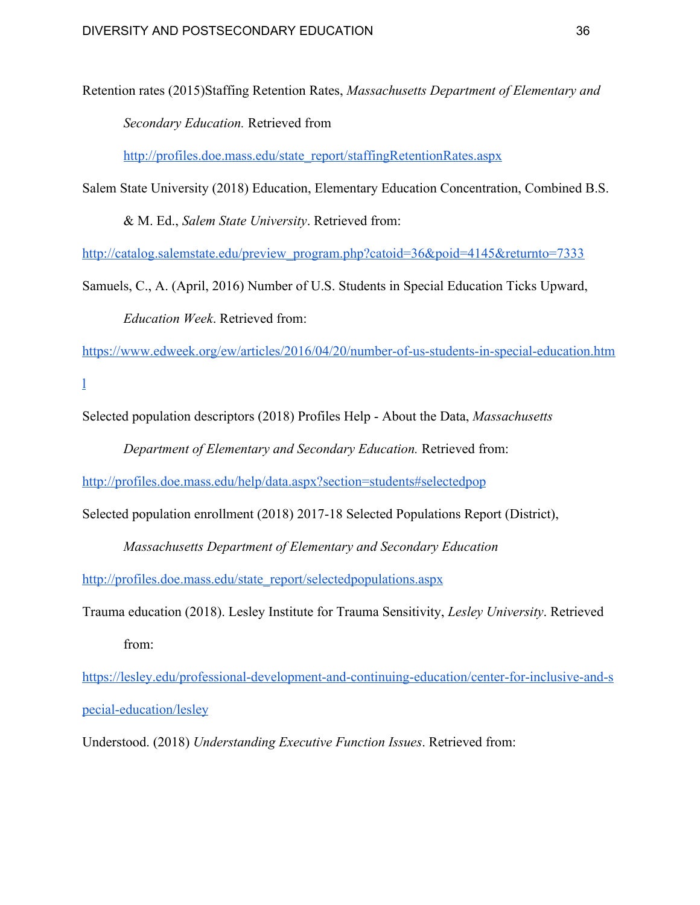Retention rates (2015)Staffing Retention Rates, *Massachusetts Department of Elementary and Secondary Education.* Retrieved from

[http://profiles.doe.mass.edu/state\\_report/staffingRetentionRates.aspx](http://profiles.doe.mass.edu/state_report/staffingRetentionRates.aspx)

Salem State University (2018) Education, Elementary Education Concentration, Combined B.S.

& M. Ed., *Salem State University*. Retrieved from:

[http://catalog.salemstate.edu/preview\\_program.php?catoid=36&poid=4145&returnto=7333](http://catalog.salemstate.edu/preview_program.php?catoid=36&poid=4145&returnto=7333)

Samuels, C., A. (April, 2016) Number of U.S. Students in Special Education Ticks Upward, *Education Week*. Retrieved from:

[https://www.edweek.org/ew/articles/2016/04/20/number-of-us-students-in-special-education.htm](https://www.edweek.org/ew/articles/2016/04/20/number-of-us-students-in-special-education.html)

[l](https://www.edweek.org/ew/articles/2016/04/20/number-of-us-students-in-special-education.html)

Selected population descriptors (2018) Profiles Help - About the Data, *Massachusetts*

*Department of Elementary and Secondary Education.* Retrieved from:

<http://profiles.doe.mass.edu/help/data.aspx?section=students#selectedpop>

Selected population enrollment (2018) 2017-18 Selected Populations Report (District),

*Massachusetts Department of Elementary and Secondary Education*

[http://profiles.doe.mass.edu/state\\_report/selectedpopulations.aspx](http://profiles.doe.mass.edu/state_report/selectedpopulations.aspx)

Trauma education (2018). Lesley Institute for Trauma Sensitivity, *Lesley University*. Retrieved from:

[https://lesley.edu/professional-development-and-continuing-education/center-for-inclusive-and-s](https://lesley.edu/professional-development-and-continuing-education/center-for-inclusive-and-special-education/lesley) [pecial-education/lesley](https://lesley.edu/professional-development-and-continuing-education/center-for-inclusive-and-special-education/lesley)

Understood. (2018) *Understanding Executive Function Issues*. Retrieved from: